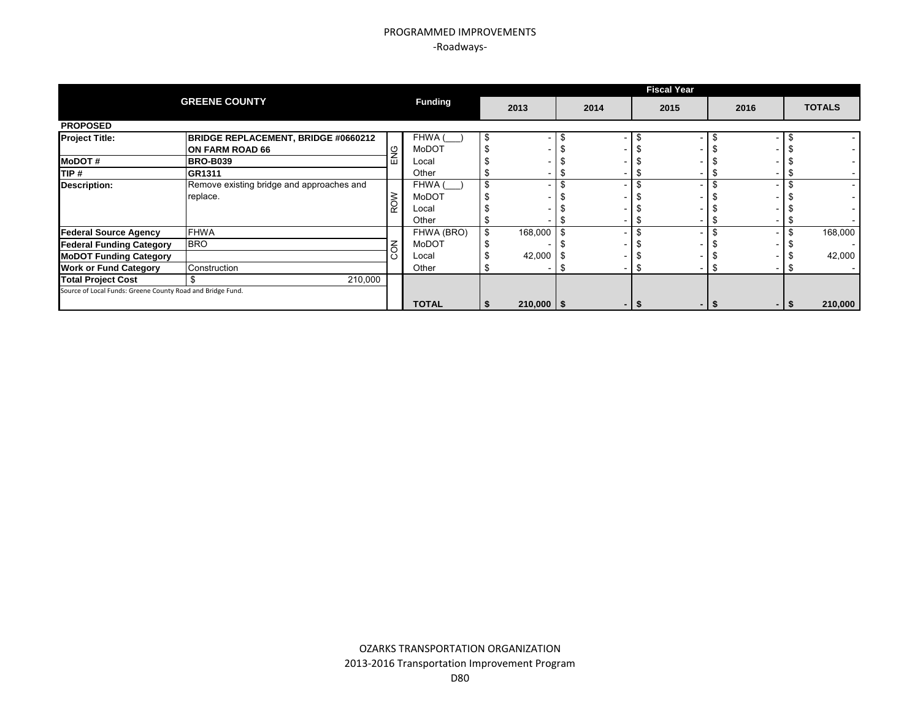|                                                            |                                            |        |                |                |      | <b>Fiscal Year</b> |      |   |               |
|------------------------------------------------------------|--------------------------------------------|--------|----------------|----------------|------|--------------------|------|---|---------------|
|                                                            | <b>GREENE COUNTY</b>                       |        | <b>Funding</b> | 2013           | 2014 | 2015               | 2016 |   | <b>TOTALS</b> |
| <b>PROPOSED</b>                                            |                                            |        |                |                |      |                    |      |   |               |
| <b>Project Title:</b>                                      | <b>BRIDGE REPLACEMENT, BRIDGE #0660212</b> |        | FHWA (         |                |      |                    |      |   |               |
|                                                            | ON FARM ROAD 66                            | ပ      | MoDOT          |                |      |                    |      |   |               |
| <b>MoDOT#</b>                                              | <b>BRO-B039</b>                            | ш      | Local          |                |      |                    |      |   |               |
| TIP #                                                      | GR1311                                     |        | Other          |                |      |                    |      |   |               |
| Description:                                               | Remove existing bridge and approaches and  |        | FHWA (         |                |      |                    |      |   |               |
|                                                            | replace.                                   |        | MoDOT          |                |      |                    |      |   |               |
|                                                            |                                            | ROW    | Local          |                |      |                    |      |   |               |
|                                                            |                                            |        | Other          |                |      |                    |      |   |               |
| <b>Federal Source Agency</b>                               | <b>FHWA</b>                                |        | FHWA (BRO)     | 168,000        |      |                    |      |   | 168,000       |
| <b>Federal Funding Category</b>                            | <b>BRO</b>                                 | $\leq$ | MoDOT          |                |      |                    |      |   |               |
| <b>MoDOT Funding Category</b>                              |                                            |        | Local          | 42,000         |      |                    |      |   | 42,000        |
| <b>Work or Fund Category</b>                               | Construction                               |        | Other          |                |      |                    |      | จ |               |
| <b>Total Project Cost</b>                                  | 210,000                                    |        |                |                |      |                    |      |   |               |
| Source of Local Funds: Greene County Road and Bridge Fund. |                                            |        |                |                |      |                    |      |   |               |
|                                                            |                                            |        | <b>TOTAL</b>   | $210,000$ \ \$ |      |                    |      |   | 210,000       |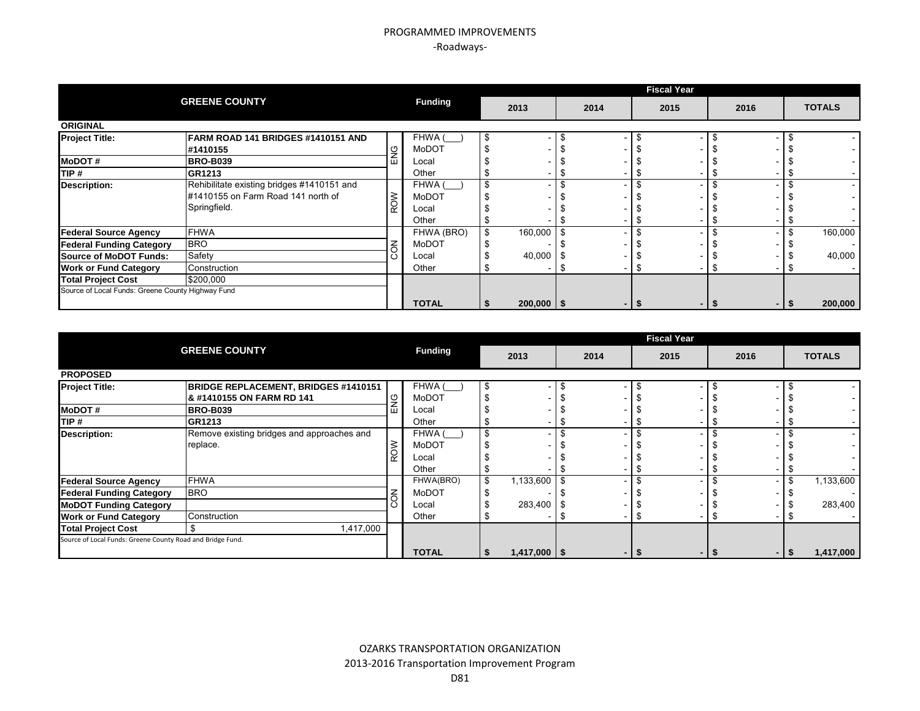|                                 |                                                                                                                                  |            |                |    |                |      | <b>Fiscal Year</b> |      |               |
|---------------------------------|----------------------------------------------------------------------------------------------------------------------------------|------------|----------------|----|----------------|------|--------------------|------|---------------|
|                                 | <b>GREENE COUNTY</b>                                                                                                             |            | <b>Funding</b> |    | 2013           | 2014 | 2015               | 2016 | <b>TOTALS</b> |
| <b>ORIGINAL</b>                 |                                                                                                                                  |            |                |    |                |      |                    |      |               |
| <b>Project Title:</b>           | FARM ROAD 141 BRIDGES #1410151 AND                                                                                               |            | FHWA (         | Ъ  |                |      |                    |      |               |
|                                 | #1410155                                                                                                                         | å          | MoDOT          |    |                |      |                    |      |               |
| <b>MoDOT#</b>                   | <b>BRO-B039</b>                                                                                                                  | ш          | Local          |    |                |      |                    |      |               |
| TIP#                            | <b>GR1213</b>                                                                                                                    |            | Other          |    |                |      |                    |      |               |
| <b>Description:</b>             |                                                                                                                                  |            | FHWA (         |    |                |      |                    |      |               |
|                                 | Rehibilitate existing bridges #1410151 and<br>#1410155 on Farm Road 141 north of<br>Springfield.<br>FHWA<br><b>BRO</b><br>Safety |            |                |    |                |      |                    |      |               |
|                                 |                                                                                                                                  | <b>ROW</b> | Local          |    |                |      |                    |      |               |
|                                 |                                                                                                                                  |            |                |    |                |      |                    |      |               |
| <b>Federal Source Agency</b>    |                                                                                                                                  |            | FHWA (BRO)     | \$ | 160,000        |      |                    |      | 160,000       |
| <b>Federal Funding Category</b> |                                                                                                                                  | る          | MoDOT          |    |                |      |                    |      |               |
| <b>Source of MoDOT Funds:</b>   |                                                                                                                                  | Ō          | Local          |    | 40,000         |      |                    |      | 40,000        |
| <b>Work or Fund Category</b>    | Construction                                                                                                                     |            | Other          |    |                |      |                    |      |               |
| <b>Total Project Cost</b>       | \$200,000                                                                                                                        |            |                |    |                |      |                    |      |               |
|                                 |                                                                                                                                  |            |                |    |                |      |                    |      |               |
|                                 | Source of Local Funds: Greene County Highway Fund                                                                                |            |                |    | $200,000$   \$ |      |                    |      | 200,000       |

|                                                            |                                             |   |                |                  |      | <b>Fiscal Year</b>       |      |                          |
|------------------------------------------------------------|---------------------------------------------|---|----------------|------------------|------|--------------------------|------|--------------------------|
|                                                            | <b>GREENE COUNTY</b>                        |   | <b>Funding</b> | 2013             | 2014 | 2015                     | 2016 | <b>TOTALS</b>            |
| <b>PROPOSED</b>                                            |                                             |   |                |                  |      |                          |      |                          |
| <b>Project Title:</b>                                      | <b>BRIDGE REPLACEMENT, BRIDGES #1410151</b> |   | FHWA (         | \$               |      |                          |      |                          |
|                                                            | & #1410155 ON FARM RD 141                   |   | MoDOT          |                  |      |                          |      |                          |
| <b>MoDOT#</b>                                              | <b>BRO-B039</b>                             |   | Local          |                  |      |                          |      |                          |
| TIP #                                                      | GR1213                                      |   | Other          |                  |      |                          |      |                          |
| Description:                                               | Remove existing bridges and approaches and  |   | FHWA (         |                  |      | $\overline{\phantom{0}}$ |      | $\overline{\phantom{a}}$ |
|                                                            | replace.                                    |   | MoDOT          |                  |      |                          |      |                          |
|                                                            |                                             |   | Local          |                  |      |                          |      |                          |
|                                                            |                                             |   | Other          |                  |      |                          |      |                          |
| <b>Federal Source Agency</b>                               | <b>FHWA</b>                                 |   | FHWA(BRO)      | \$<br>1,133,600  |      | $\overline{\phantom{0}}$ |      | \$<br>1,133,600          |
| <b>Federal Funding Category</b>                            | <b>BRO</b>                                  | š | MoDOT          |                  |      |                          |      |                          |
| <b>MoDOT Funding Category</b>                              |                                             |   | Local          | 283,400          |      |                          |      | 283,400                  |
| <b>Work or Fund Category</b>                               | Construction                                |   | Other          |                  |      |                          |      |                          |
| <b>Total Project Cost</b>                                  | 1,417,000<br>\$                             |   |                |                  |      |                          |      |                          |
| Source of Local Funds: Greene County Road and Bridge Fund. |                                             |   |                |                  |      |                          |      |                          |
|                                                            |                                             |   | <b>TOTAL</b>   | $1,417,000$ \ \$ |      | ЗS.<br>$\blacksquare$    |      | 1,417,000                |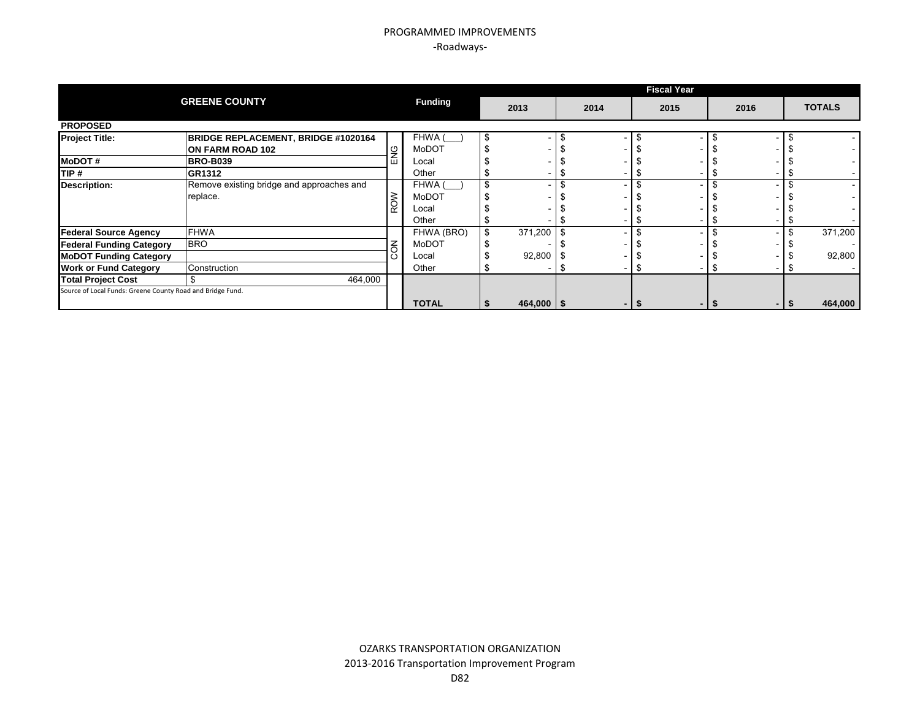|                                                            |                                           |        |                |               |      | <b>Fiscal Year</b> |      |   |               |
|------------------------------------------------------------|-------------------------------------------|--------|----------------|---------------|------|--------------------|------|---|---------------|
|                                                            | <b>GREENE COUNTY</b>                      |        | <b>Funding</b> | 2013          | 2014 | 2015               | 2016 |   | <b>TOTALS</b> |
| <b>PROPOSED</b>                                            |                                           |        |                |               |      |                    |      |   |               |
| <b>Project Title:</b>                                      | BRIDGE REPLACEMENT, BRIDGE #1020164       |        | FHWA (         |               |      |                    |      |   |               |
|                                                            | ON FARM ROAD 102                          | ပ      | MoDOT          |               |      |                    |      |   |               |
| <b>MoDOT#</b>                                              | <b>BRO-B039</b>                           | ш      | Local          |               |      |                    |      |   |               |
| TIP #                                                      | GR1312                                    |        | Other          |               |      |                    |      |   |               |
| Description:                                               | Remove existing bridge and approaches and |        | FHWA (         |               |      |                    |      |   |               |
|                                                            | replace.                                  |        | MoDOT          |               |      |                    |      |   |               |
|                                                            |                                           | ROW    | Local          |               |      |                    |      |   |               |
|                                                            |                                           |        | Other          |               |      |                    |      |   |               |
| <b>Federal Source Agency</b>                               | <b>FHWA</b>                               |        | FHWA (BRO)     | 371,200       |      |                    |      |   | 371,200       |
| <b>Federal Funding Category</b>                            | <b>BRO</b>                                | $\leq$ | MoDOT          |               |      |                    |      |   |               |
| <b>MoDOT Funding Category</b>                              |                                           |        | Local          | 92,800        |      |                    |      |   | 92,800        |
| <b>Work or Fund Category</b>                               | Construction                              |        | Other          |               |      |                    |      | จ |               |
| <b>Total Project Cost</b>                                  | 464,000                                   |        |                |               |      |                    |      |   |               |
| Source of Local Funds: Greene County Road and Bridge Fund. |                                           |        |                |               |      |                    |      |   |               |
|                                                            |                                           |        | <b>TOTAL</b>   | $464,000$ \\$ |      |                    |      |   | 464,000       |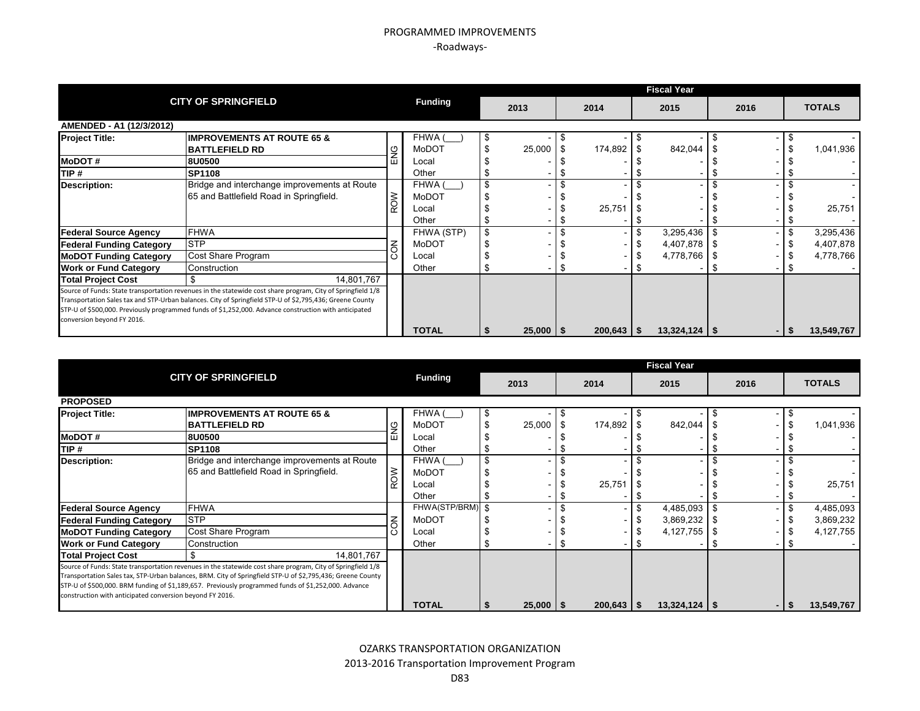|                                 |                                                                                                             |            |                |    |               |                | <b>Fiscal Year</b> |      |                 |
|---------------------------------|-------------------------------------------------------------------------------------------------------------|------------|----------------|----|---------------|----------------|--------------------|------|-----------------|
|                                 | <b>CITY OF SPRINGFIELD</b>                                                                                  |            | <b>Funding</b> |    | 2013          | 2014           | 2015               | 2016 | <b>TOTALS</b>   |
| AMENDED - A1 (12/3/2012)        |                                                                                                             |            |                |    |               |                |                    |      |                 |
| <b>Project Title:</b>           | <b>IIMPROVEMENTS AT ROUTE 65 &amp;</b>                                                                      |            | FHWA (         | Ъ  |               |                |                    |      |                 |
|                                 | <b>BATTLEFIELD RD</b>                                                                                       | 9<br>N     | MoDOT          |    | 25,000        | 174,892        | 842,044            |      | 1,041,936       |
| <b>MoDOT#</b>                   | 8U0500                                                                                                      | ш          | Local          |    |               |                |                    |      |                 |
| TIP#                            | <b>SP1108</b>                                                                                               |            | Other          |    |               |                |                    |      |                 |
| <b>Description:</b>             | Bridge and interchange improvements at Route                                                                |            | FHWA (         |    |               |                |                    |      |                 |
|                                 | 65 and Battlefield Road in Springfield.                                                                     |            | MoDOT          |    |               |                |                    |      |                 |
|                                 |                                                                                                             | ROW        | Local          |    |               | 25,751         |                    |      | 25,751          |
|                                 |                                                                                                             |            | Other          |    |               |                |                    |      |                 |
| <b>Federal Source Agency</b>    | <b>FHWA</b>                                                                                                 |            | FHWA (STP)     | \$ |               |                | 3,295,436          |      | \$<br>3,295,436 |
| <b>Federal Funding Category</b> | <b>STP</b>                                                                                                  |            | MoDOT          |    |               |                | 4,407,878          |      | 4,407,878       |
| <b>MoDOT Funding Category</b>   | Cost Share Program                                                                                          | <b>NO2</b> | Local          |    |               |                | 4,778,766          |      | 4,778,766       |
| <b>Work or Fund Category</b>    | Construction                                                                                                |            | Other          |    |               |                |                    |      |                 |
| <b>Total Project Cost</b>       | 14.801.767                                                                                                  |            |                |    |               |                |                    |      |                 |
|                                 | Source of Funds: State transportation revenues in the statewide cost share program, City of Springfield 1/8 |            |                |    |               |                |                    |      |                 |
|                                 | Transportation Sales tax and STP-Urban balances. City of Springfield STP-U of \$2,795,436; Greene County    |            |                |    |               |                |                    |      |                 |
|                                 | STP-U of \$500,000. Previously programmed funds of \$1,252,000. Advance construction with anticipated       |            |                |    |               |                |                    |      |                 |
| conversion beyond FY 2016.      |                                                                                                             |            |                |    |               |                |                    |      |                 |
|                                 |                                                                                                             |            | <b>TOTAL</b>   |    | $25,000$   \$ | $200,643$   \$ | $13,324,124$   \$  |      | 13,549,767      |

|                                                          |                                                                                                             |   |                |               |              | <b>Fiscal Year</b> |      |                 |
|----------------------------------------------------------|-------------------------------------------------------------------------------------------------------------|---|----------------|---------------|--------------|--------------------|------|-----------------|
|                                                          | <b>CITY OF SPRINGFIELD</b>                                                                                  |   | <b>Funding</b> | 2013          | 2014         | 2015               | 2016 | <b>TOTALS</b>   |
| <b>PROPOSED</b>                                          |                                                                                                             |   |                |               |              |                    |      |                 |
| <b>Project Title:</b>                                    | <b>IMPROVEMENTS AT ROUTE 65 &amp;</b>                                                                       |   | FHWA (         | \$            |              |                    |      |                 |
|                                                          | <b>BATTLEFIELD RD</b>                                                                                       |   | MoDOT          | 25,000        | 174,892      | 842,044            |      | 1,041,936       |
| <b>MoDOT#</b>                                            | 8U0500                                                                                                      | ய | Local          |               |              |                    |      |                 |
| <b>TIP#</b>                                              | <b>SP1108</b>                                                                                               |   | Other          |               |              |                    |      |                 |
| <b>Description:</b>                                      | Bridge and interchange improvements at Route                                                                |   | FHWA (         |               |              |                    |      |                 |
|                                                          | 65 and Battlefield Road in Springfield.                                                                     | š | <b>MoDOT</b>   |               |              |                    |      |                 |
|                                                          |                                                                                                             |   | Local          |               | 25,751       |                    |      | 25,751          |
|                                                          |                                                                                                             |   | Other          |               |              |                    |      |                 |
| <b>Federal Source Agency</b>                             | <b>FHWA</b>                                                                                                 |   | FHWA(STP/BRM)  |               |              | 4,485,093          |      | \$<br>4,485,093 |
| <b>Federal Funding Category</b>                          | <b>STP</b>                                                                                                  | 중 | MoDOT          |               |              | 3,869,232          |      | 3,869,232       |
| <b>MoDOT Funding Category</b>                            | Cost Share Program                                                                                          |   | Local          |               |              | 4,127,755          |      | 4,127,755       |
| <b>Work or Fund Category</b>                             | Construction                                                                                                |   | Other          |               |              |                    |      |                 |
| <b>Total Project Cost</b>                                | 14,801,767                                                                                                  |   |                |               |              |                    |      |                 |
|                                                          | Source of Funds: State transportation revenues in the statewide cost share program, City of Springfield 1/8 |   |                |               |              |                    |      |                 |
|                                                          | Transportation Sales tax, STP-Urban balances, BRM. City of Springfield STP-U of \$2,795,436; Greene County  |   |                |               |              |                    |      |                 |
|                                                          | STP-U of \$500,000. BRM funding of \$1,189,657. Previously programmed funds of \$1,252,000. Advance         |   |                |               |              |                    |      |                 |
| construction with anticipated conversion beyond FY 2016. |                                                                                                             |   |                |               |              |                    |      |                 |
|                                                          |                                                                                                             |   | <b>TOTAL</b>   | $25,000$   \$ | $200,643$ \$ | $13,324,124$ \$    |      | 13,549,767      |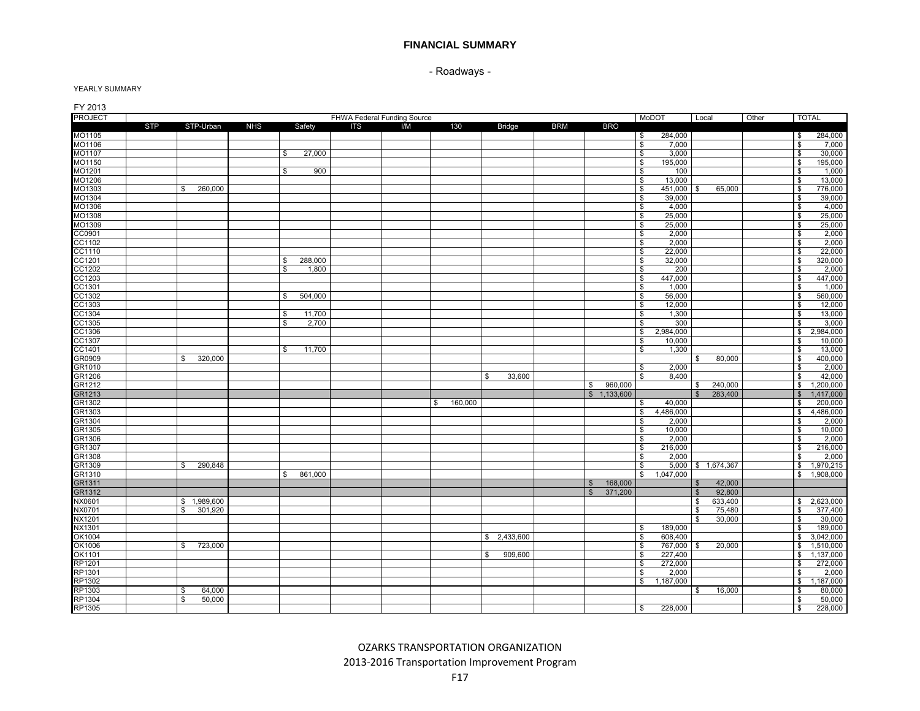- Roadways -

| FY 2013            |            |                |            |                       |                             |     |               |               |            |                           |                                 |                    |         |       |                         |                   |
|--------------------|------------|----------------|------------|-----------------------|-----------------------------|-----|---------------|---------------|------------|---------------------------|---------------------------------|--------------------|---------|-------|-------------------------|-------------------|
| <b>PROJECT</b>     |            |                |            |                       | FHWA Federal Funding Source |     |               |               |            |                           | MoDOT                           | Local              |         | Other | <b>TOTAL</b>            |                   |
|                    | <b>STP</b> | STP-Urban      | <b>NHS</b> | Safety                | ITS                         | I/M | 130           | <b>Bridge</b> | <b>BRM</b> | <b>BRO</b>                |                                 |                    |         |       |                         |                   |
| MO1105             |            |                |            |                       |                             |     |               |               |            |                           | \$<br>284,000                   |                    |         |       | \$                      | 284,000           |
| MO1106             |            |                |            |                       |                             |     |               |               |            |                           | \$<br>7,000                     |                    |         |       | \$                      | 7,000             |
| MO1107             |            |                |            | 27,000<br>\$          |                             |     |               |               |            |                           | \$<br>3,000                     |                    |         |       | \$                      | 30,000            |
| MO1150             |            |                |            |                       |                             |     |               |               |            |                           | \$<br>195,000                   |                    |         |       | \$                      | 195,000           |
| MO1201             |            |                |            | 900<br>\$             |                             |     |               |               |            |                           | \$<br>100                       |                    |         |       | \$                      | 1,000             |
| MO1206<br>MO1303   |            | 260,000<br>S.  |            |                       |                             |     |               |               |            |                           | 13,000<br>\$<br>\$<br>451,000   | <b>S</b>           | 65,000  |       | \$<br>\$                | 13,000<br>776,000 |
| MO1304             |            |                |            |                       |                             |     |               |               |            |                           | 39,000<br>\$                    |                    |         |       | \$                      | 39,000            |
| MO1306             |            |                |            |                       |                             |     |               |               |            |                           | \$<br>4,000                     |                    |         |       | \$                      | 4,000             |
| MO1308             |            |                |            |                       |                             |     |               |               |            |                           | $\mathbf{s}$<br>25,000          |                    |         |       | \$                      | 25,000            |
| MO1309             |            |                |            |                       |                             |     |               |               |            |                           | \$<br>25,000                    |                    |         |       | \$                      | 25,000            |
| CC0901             |            |                |            |                       |                             |     |               |               |            |                           | \$<br>2,000                     |                    |         |       | $\overline{\mathbf{s}}$ | 2,000             |
| CC1102             |            |                |            |                       |                             |     |               |               |            |                           | \$<br>2,000                     |                    |         |       | \$                      | 2,000             |
| CC1110             |            |                |            |                       |                             |     |               |               |            |                           | \$<br>22,000                    |                    |         |       | \$                      | 22,000            |
| CC1201             |            |                |            | 288,000<br>\$         |                             |     |               |               |            |                           | \$<br>32,000                    |                    |         |       | \$                      | 320,000           |
| CC1202             |            |                |            | $\mathbf{s}$<br>1,800 |                             |     |               |               |            |                           | $\mathbf{s}$<br>200             |                    |         |       | $\overline{\mathbf{s}}$ | 2,000             |
| CC1203             |            |                |            |                       |                             |     |               |               |            |                           | \$<br>447,000                   |                    |         |       | \$                      | 447,000           |
| CC1301             |            |                |            |                       |                             |     |               |               |            |                           | \$<br>1,000                     |                    |         |       | \$                      | 1,000             |
| CC1302             |            |                |            | \$<br>504,000         |                             |     |               |               |            |                           | \$<br>56,000                    |                    |         |       | \$                      | 560,000           |
|                    |            |                |            |                       |                             |     |               |               |            |                           | \$<br>12,000                    |                    |         |       | \$                      | 12,000            |
| CC1303<br>CC1304   |            |                |            | 11,700<br>\$          |                             |     |               |               |            |                           | \$<br>1.300                     |                    |         |       | \$                      | 13,000            |
| CC1305             |            |                |            | $\$$<br>2,700         |                             |     |               |               |            |                           | $\mathbb{S}$<br>300             |                    |         |       | $\mathfrak s$           | 3,000             |
| CC1306             |            |                |            |                       |                             |     |               |               |            |                           | 2,984,000<br>\$                 |                    |         |       | \$                      | 2,984,000         |
| CC1307             |            |                |            |                       |                             |     |               |               |            |                           | \$<br>10,000                    |                    |         |       | \$                      | 10,000            |
| CC1401             |            |                |            | 11,700<br>\$          |                             |     |               |               |            |                           | \$<br>1,300                     |                    |         |       | \$                      | 13,000            |
| GR0909             |            | \$<br>320,000  |            |                       |                             |     |               |               |            |                           |                                 | S.                 | 80,000  |       | \$                      | 400,000           |
| GR1010             |            |                |            |                       |                             |     |               |               |            |                           | \$<br>2,000                     |                    |         |       | \$                      | 2,000             |
| GR1206             |            |                |            |                       |                             |     |               | 33,600<br>\$  |            |                           | \$<br>8,400                     |                    |         |       | \$                      | 42,000            |
| GR1212             |            |                |            |                       |                             |     |               |               |            | 960,000<br>\$             |                                 | \$                 | 240,000 |       | \$                      | 1,200,000         |
| GR1213             |            |                |            |                       |                             |     |               |               |            | \$1,133,600               |                                 | $\mathbb{S}$       | 283,400 |       | $\mathfrak{S}$          | 1,417,000         |
| GR1302             |            |                |            |                       |                             |     | 160,000<br>\$ |               |            |                           | 40,000<br>\$                    |                    |         |       | \$                      | 200,000           |
| GR1303             |            |                |            |                       |                             |     |               |               |            |                           | 4,486,000<br>\$                 |                    |         |       | $\mathbb{S}$            | 4,486,000         |
| GR <sub>1304</sub> |            |                |            |                       |                             |     |               |               |            |                           | \$<br>2,000                     |                    |         |       | \$                      | 2,000             |
| GR1305             |            |                |            |                       |                             |     |               |               |            |                           | \$<br>10,000                    |                    |         |       | \$                      | 10,000            |
| GR1306<br>GR1307   |            |                |            |                       |                             |     |               |               |            |                           | \$<br>2,000<br>\$<br>216,000    |                    |         |       | \$<br>\$                | 2,000<br>216,000  |
| GR1308             |            |                |            |                       |                             |     |               |               |            |                           | \$<br>2.000                     |                    |         |       | \$                      | 2,000             |
| GR1309             |            | 290,848<br>\$  |            |                       |                             |     |               |               |            |                           | \$                              | 5,000 \$ 1,674,367 |         |       | \$                      | 1,970,215         |
| GR1310             |            |                |            | 861,000<br>\$         |                             |     |               |               |            |                           | \$<br>1,047,000                 |                    |         |       | \$                      | 1,908,000         |
| GR1311             |            |                |            |                       |                             |     |               |               |            | 168,000<br>$\mathfrak{S}$ |                                 | $\mathfrak{s}$     | 42,000  |       |                         |                   |
| GR1312             |            |                |            |                       |                             |     |               |               |            | 371,200<br>$\mathbb{S}$   |                                 | $\sqrt{3}$         | 92,800  |       |                         |                   |
| NX0601             |            | \$1,989,600    |            |                       |                             |     |               |               |            |                           |                                 | \$                 | 633,400 |       | \$                      | 2,623,000         |
| NX0701             |            | 301,920<br>\$. |            |                       |                             |     |               |               |            |                           |                                 | l \$               | 75,480  |       | \$                      | 377,400           |
| NX1201             |            |                |            |                       |                             |     |               |               |            |                           |                                 | \$                 | 30,000  |       | \$                      | 30,000            |
| <b>NX1301</b>      |            |                |            |                       |                             |     |               |               |            |                           | 189,000<br>\$                   |                    |         |       | \$                      | 189,000           |
| OK1004             |            |                |            |                       |                             |     |               | \$2,433,600   |            |                           | \$<br>608,400                   |                    |         |       | \$                      | 3,042,000         |
| OK1006             |            | 723,000<br>S.  |            |                       |                             |     |               |               |            |                           | \$<br>767,000 \$                |                    | 20,000  |       | \$                      | 1,510,000         |
| OK1101             |            |                |            |                       |                             |     |               | 909,600<br>\$ |            |                           | \$<br>227,400                   |                    |         |       | \$                      | 1,137,000         |
| RP1201             |            |                |            |                       |                             |     |               |               |            |                           | 272,000<br>\$                   |                    |         |       | \$                      | 272,000           |
| RP1301             |            |                |            |                       |                             |     |               |               |            |                           | \$<br>2,000                     |                    |         |       | \$                      | 2,000             |
| RP1302             |            |                |            |                       |                             |     |               |               |            |                           | $\mathbf{\hat{s}}$<br>1,187,000 |                    |         |       | \$                      | 1,187,000         |
| RP1303             |            | 64,000<br>\$   |            |                       |                             |     |               |               |            |                           |                                 | \$                 | 16,000  |       | \$                      | 80,000            |
| RP1304             |            | \$<br>50,000   |            |                       |                             |     |               |               |            |                           |                                 |                    |         |       | \$                      | 50,000            |
| RP1305             |            |                |            |                       |                             |     |               |               |            |                           | 228,000<br>\$                   |                    |         |       | \$                      | 228,000           |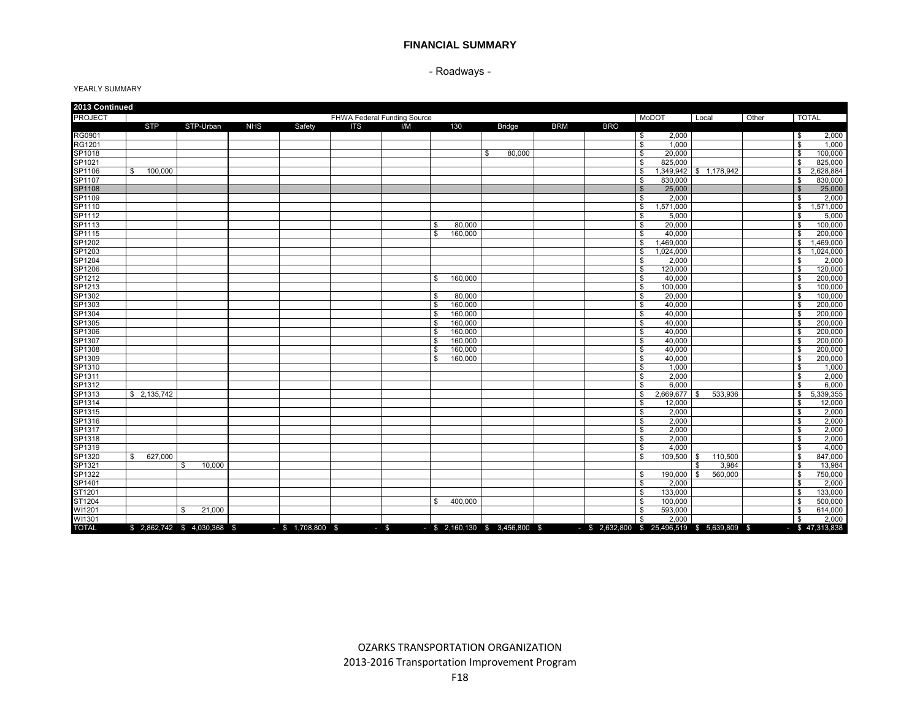- Roadways -

| 2013 Continued |               |                              |            |                     |                             |     |              |         |               |            |            |                                                                             |                        |       |                |                   |
|----------------|---------------|------------------------------|------------|---------------------|-----------------------------|-----|--------------|---------|---------------|------------|------------|-----------------------------------------------------------------------------|------------------------|-------|----------------|-------------------|
| <b>PROJECT</b> |               |                              |            |                     | FHWA Federal Funding Source |     |              |         |               |            |            | MoDOT                                                                       | Local                  | Other |                | <b>TOTAL</b>      |
|                | <b>STP</b>    | STP-Urban                    | <b>NHS</b> | Safety              | <b>ITS</b>                  | I/M |              | 130     | <b>Bridge</b> | <b>BRM</b> | <b>BRO</b> |                                                                             |                        |       |                |                   |
| RG0901         |               |                              |            |                     |                             |     |              |         |               |            |            | 2,000<br>\$                                                                 |                        |       | \$             | 2,000             |
| <b>RG1201</b>  |               |                              |            |                     |                             |     |              |         |               |            |            | \$<br>1.000                                                                 |                        |       | \$             | 1,000             |
| SP1018         |               |                              |            |                     |                             |     |              |         | \$<br>80,000  |            |            | \$<br>20,000                                                                |                        |       | \$             | 100,000           |
| SP1021         |               |                              |            |                     |                             |     |              |         |               |            |            | 825,000<br>\$                                                               |                        |       | \$             | 825,000           |
| SP1106         | S.<br>100,000 |                              |            |                     |                             |     |              |         |               |            |            | \$                                                                          | 1,349,942 \$ 1,178,942 |       | \$             | 2,628,884         |
| SP1107         |               |                              |            |                     |                             |     |              |         |               |            |            | 830,000<br>\$                                                               |                        |       | \$             | 830,000           |
| SP1108         |               |                              |            |                     |                             |     |              |         |               |            |            | $\mathbb{S}$<br>25,000                                                      |                        |       | $\mathfrak{S}$ | 25,000            |
| SP1109         |               |                              |            |                     |                             |     |              |         |               |            |            | \$<br>2.000                                                                 |                        |       | $\mathbf{s}$   | 2,000             |
| SP1110         |               |                              |            |                     |                             |     |              |         |               |            |            | 1,571,000<br>\$                                                             |                        |       | \$             | 1,571,000         |
| SP1112         |               |                              |            |                     |                             |     |              |         |               |            |            | \$<br>5.000                                                                 |                        |       | \$             | 5,000             |
| SP1113         |               |                              |            |                     |                             |     | \$           | 80,000  |               |            |            | 20.000<br>\$                                                                |                        |       | \$             | 100,000           |
| SP1115         |               |                              |            |                     |                             |     | \$           | 160,000 |               |            |            | 40,000<br>\$                                                                |                        |       | \$             | 200,000           |
| SP1202         |               |                              |            |                     |                             |     |              |         |               |            |            | \$<br>1,469,000                                                             |                        |       | \$             | ,469,000          |
| SP1203         |               |                              |            |                     |                             |     |              |         |               |            |            | 1,024,000<br>\$                                                             |                        |       | \$             | 1,024,000         |
| SP1204         |               |                              |            |                     |                             |     |              |         |               |            |            | 2.000<br>\$                                                                 |                        |       | \$             | 2,000             |
| SP1206         |               |                              |            |                     |                             |     |              |         |               |            |            | \$<br>120,000                                                               |                        |       | \$             | 120,000           |
| SP1212         |               |                              |            |                     |                             |     | \$           | 160,000 |               |            |            | \$<br>40,000                                                                |                        |       | \$             | 200,000           |
| SP1213         |               |                              |            |                     |                             |     |              |         |               |            |            | \$<br>100,000                                                               |                        |       | \$             | 100,000           |
| SP1302         |               |                              |            |                     |                             |     | \$           | 80,000  |               |            |            | \$<br>20.000                                                                |                        |       | \$             | 100,000           |
| SP1303         |               |                              |            |                     |                             |     | \$           | 160,000 |               |            |            | \$<br>40.000                                                                |                        |       | \$             | 200,000           |
| SP1304         |               |                              |            |                     |                             |     | \$           | 160,000 |               |            |            | \$<br>40.000                                                                |                        |       | $\mathbf{s}$   | 200,000           |
| SP1305         |               |                              |            |                     |                             |     | \$           | 160,000 |               |            |            | \$<br>40,000                                                                |                        |       | \$             | 200,000           |
| SP1306         |               |                              |            |                     |                             |     | \$           | 160,000 |               |            |            | \$<br>40.000                                                                |                        |       | \$             | 200,000           |
| SP1307         |               |                              |            |                     |                             |     | \$           | 160,000 |               |            |            | \$<br>40.000                                                                |                        |       | \$             | 200,000           |
| SP1308         |               |                              |            |                     |                             |     | \$           | 160,000 |               |            |            | \$<br>40,000                                                                |                        |       | \$             | 200,000           |
| SP1309         |               |                              |            |                     |                             |     | $\mathbb{S}$ | 160,000 |               |            |            | \$<br>40.000                                                                |                        |       | \$             | 200,000           |
| SP1310         |               |                              |            |                     |                             |     |              |         |               |            |            | \$<br>1,000                                                                 |                        |       | \$             | 1,000             |
| SP1311         |               |                              |            |                     |                             |     |              |         |               |            |            | \$<br>2.000                                                                 |                        |       | \$             | 2.000             |
| SP1312         |               |                              |            |                     |                             |     |              |         |               |            |            | 6,000<br>\$.                                                                |                        |       | $\mathbf{s}$   | 6,000             |
| SP1313         | \$2,135,742   |                              |            |                     |                             |     |              |         |               |            |            | \$<br>2,669,677 \$                                                          | 533,936                |       | \$             | 5,339,355         |
| SP1314         |               |                              |            |                     |                             |     |              |         |               |            |            | \$<br>12,000                                                                |                        |       | \$             | 12,000            |
| SP1315         |               |                              |            |                     |                             |     |              |         |               |            |            | \$<br>2,000                                                                 |                        |       | \$             | 2,000             |
| SP1316         |               |                              |            |                     |                             |     |              |         |               |            |            | \$<br>2,000                                                                 |                        |       | \$             | 2,000             |
| SP1317         |               |                              |            |                     |                             |     |              |         |               |            |            | \$<br>2,000                                                                 |                        |       | \$             | 2,000             |
| SP1318         |               |                              |            |                     |                             |     |              |         |               |            |            | \$<br>2.000                                                                 |                        |       | \$             | 2,000             |
| SP1319         |               |                              |            |                     |                             |     |              |         |               |            |            | 4,000<br>\$                                                                 |                        |       | \$             | 4,000             |
| SP1320         | 627,000<br>S. |                              |            |                     |                             |     |              |         |               |            |            | \$<br>109,500 \$                                                            | 110,500                |       | \$             | 847,000           |
| SP1321         |               | 10,000<br>\$                 |            |                     |                             |     |              |         |               |            |            |                                                                             | 3,984<br>\$            |       | \$             | 13,984            |
| SP1322         |               |                              |            |                     |                             |     |              |         |               |            |            | 190,000 \$<br>\$                                                            | 560,000                |       | \$             | 750,000           |
| SP1401         |               |                              |            |                     |                             |     |              |         |               |            |            | 2.000<br>\$                                                                 |                        |       | $\mathbf{s}$   | 2,000             |
| ST1201         |               |                              |            |                     |                             |     |              |         |               |            |            | 133,000<br>\$                                                               |                        |       | \$             | 133,000           |
| ST1204         |               |                              |            |                     |                             |     | \$           | 400,000 |               |            |            | \$<br>100,000                                                               |                        |       | \$             | 500,000           |
| WI1201         |               | \$.<br>21,000                |            |                     |                             |     |              |         |               |            |            | 593,000<br>\$                                                               |                        |       | \$             | 614,000           |
| WI1301         |               |                              |            |                     |                             |     |              |         |               |            |            | \$<br>2,000                                                                 |                        |       | \$             | 2,000             |
| <b>TOTAL</b>   |               | \$ 2,862,742 \$ 4,030,368 \$ |            | $-$ \$ 1,708,800 \$ | $-5$                        |     |              |         |               |            |            | - \$ 2,160,130 \$ 3,456,800 \$ - \$ 2,632,800 \$ 25,496,519 \$ 5,639,809 \$ |                        |       |                | $-$ \$ 47,313,838 |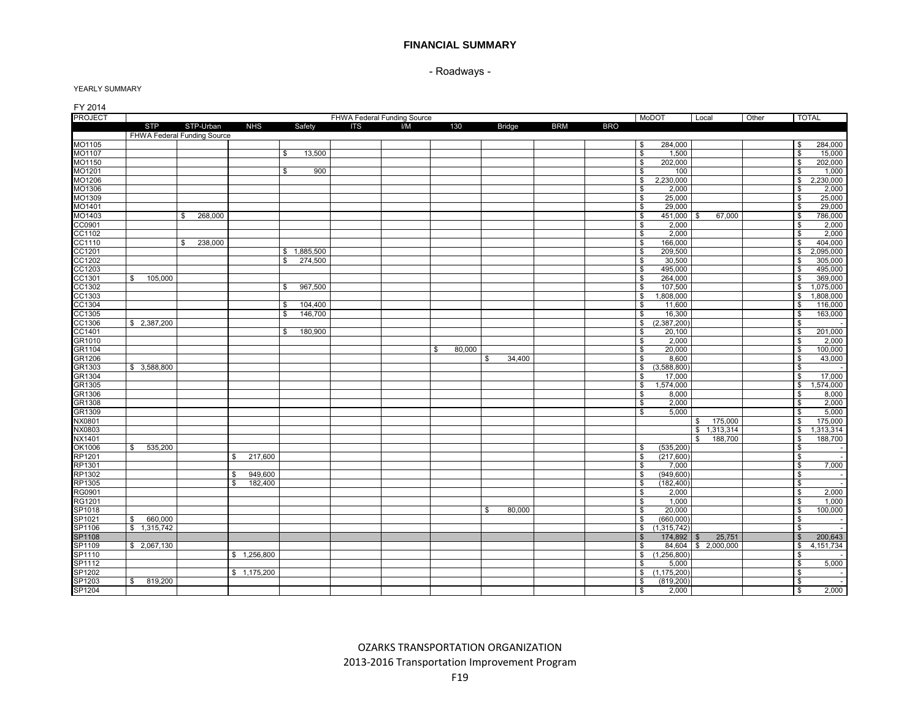- Roadways -

| FY 2014        |               |                             |                |               |                             |     |              |               |            |            |                             |                |       |                         |              |
|----------------|---------------|-----------------------------|----------------|---------------|-----------------------------|-----|--------------|---------------|------------|------------|-----------------------------|----------------|-------|-------------------------|--------------|
| <b>PROJECT</b> |               |                             |                |               | FHWA Federal Funding Source |     |              |               |            |            | MoDOT                       | Local          | Other |                         | <b>TOTAL</b> |
|                | <b>STP</b>    | STP-Urban                   | <b>NHS</b>     | Safety        | <b>ITS</b>                  | I/M | 130          | <b>Bridge</b> | <b>BRM</b> | <b>BRO</b> |                             |                |       |                         |              |
|                |               | FHWA Federal Funding Source |                |               |                             |     |              |               |            |            |                             |                |       |                         |              |
| MO1105         |               |                             |                |               |                             |     |              |               |            |            | 284,000<br>\$               |                |       | \$                      | 284,000      |
| MO1107         |               |                             |                | \$<br>13,500  |                             |     |              |               |            |            | \$<br>1,500                 |                |       | \$                      | 15,000       |
| MO1150         |               |                             |                |               |                             |     |              |               |            |            | 202,000<br>\$               |                |       | \$                      | 202,000      |
| MO1201         |               |                             |                | 900<br>\$     |                             |     |              |               |            |            | \$<br>100                   |                |       | \$                      | 1,000        |
| MO1206         |               |                             |                |               |                             |     |              |               |            |            | 2,230,000<br>\$             |                |       | $\overline{\mathbf{s}}$ | 2,230,000    |
| MO1306         |               |                             |                |               |                             |     |              |               |            |            | \$<br>2,000                 |                |       | \$                      | 2,000        |
| MO1309         |               |                             |                |               |                             |     |              |               |            |            | 25,000<br>\$                |                |       | \$                      | 25,000       |
| MO1401         |               |                             |                |               |                             |     |              |               |            |            | 29,000<br>\$                |                |       | \$                      | 29,000       |
| MO1403         |               | 268,000<br>\$               |                |               |                             |     |              |               |            |            | \$<br>451,000               | 67,000<br>\$   |       | \$                      | 786,000      |
| CC0901         |               |                             |                |               |                             |     |              |               |            |            | \$<br>2,000                 |                |       | \$                      | 2,000        |
| CC1102         |               |                             |                |               |                             |     |              |               |            |            | \$<br>2.000                 |                |       | \$                      | 2.000        |
| CC1110         |               | 238,000<br>\$               |                |               |                             |     |              |               |            |            | 166,000<br>\$               |                |       | $\mathfrak{s}$          | 404,000      |
| CC1201         |               |                             |                | \$1,885,500   |                             |     |              |               |            |            | \$<br>209,500               |                |       | \$                      | 2,095,000    |
| CC1202         |               |                             |                | 274,500<br>\$ |                             |     |              |               |            |            | \$<br>30,500                |                |       | \$                      | 305,000      |
| CC1203         |               |                             |                |               |                             |     |              |               |            |            | 495,000<br>\$               |                |       | \$                      | 495,000      |
| CC1301         | 105,000<br>\$ |                             |                |               |                             |     |              |               |            |            | \$<br>264.000               |                |       | \$                      | 369,000      |
| CC1302         |               |                             |                | 967,500<br>\$ |                             |     |              |               |            |            | 107,500<br>\$               |                |       | S.                      | 1,075,000    |
| CC1303         |               |                             |                |               |                             |     |              |               |            |            | 1,808,000<br>\$             |                |       | \$                      | 1,808,000    |
| CC1304         |               |                             |                | 104,400<br>\$ |                             |     |              |               |            |            | 11,600<br>\$                |                |       | \$                      | 116,000      |
| CC1305         |               |                             |                | 146,700<br>\$ |                             |     |              |               |            |            | 16,300<br>\$                |                |       | \$                      | 163,000      |
| CC1306         | \$ 2,387,200  |                             |                |               |                             |     |              |               |            |            | \$<br>(2,387,200)           |                |       | \$                      |              |
| CC1401         |               |                             |                | 180,900<br>\$ |                             |     |              |               |            |            | 20,100<br>\$                |                |       | \$                      | 201,000      |
| GR1010         |               |                             |                |               |                             |     |              |               |            |            | $\mathbb{S}$<br>2.000       |                |       | \$                      | 2,000        |
| GR1104         |               |                             |                |               |                             |     | \$<br>80,000 |               |            |            | \$<br>20,000                |                |       | \$                      | 100,000      |
| GR1206         |               |                             |                |               |                             |     |              | \$<br>34,400  |            |            | \$<br>8,600                 |                |       | \$                      | 43,000       |
| GR1303         | \$3,588,800   |                             |                |               |                             |     |              |               |            |            | $\mathbf{s}$<br>(3,588,800) |                |       | $\overline{\mathbf{s}}$ |              |
| GR1304         |               |                             |                |               |                             |     |              |               |            |            | \$<br>17.000                |                |       | \$                      | 17,000       |
| GR1305         |               |                             |                |               |                             |     |              |               |            |            | \$<br>1,574,000             |                |       | \$                      | 1,574,000    |
| GR1306         |               |                             |                |               |                             |     |              |               |            |            | \$<br>8,000                 |                |       | \$                      | 8,000        |
| GR1308         |               |                             |                |               |                             |     |              |               |            |            | 2,000<br>\$                 |                |       | \$                      | 2,000        |
| GR1309         |               |                             |                |               |                             |     |              |               |            |            | \$<br>5.000                 |                |       | \$                      | 5,000        |
| NX0801         |               |                             |                |               |                             |     |              |               |            |            |                             | 175,000<br>S.  |       | \$                      | 175,000      |
| NX0803         |               |                             |                |               |                             |     |              |               |            |            |                             | \$1,313,314    |       | \$                      | ,313,314     |
| NX1401         |               |                             |                |               |                             |     |              |               |            |            |                             | 188,700<br>\$  |       | \$                      | 188,700      |
| OK1006         | 535,200<br>\$ |                             |                |               |                             |     |              |               |            |            | (535, 200)<br>\$            |                |       | \$                      |              |
| <b>RP1201</b>  |               |                             | 217,600<br>\$  |               |                             |     |              |               |            |            | (217,600)<br>\$             |                |       | $\overline{\mathbf{s}}$ |              |
| RP1301         |               |                             |                |               |                             |     |              |               |            |            | \$<br>7,000                 |                |       | \$                      | 7,000        |
| RP1302         |               |                             | 949,600<br>\$  |               |                             |     |              |               |            |            | $\mathbf{s}$<br>(949, 600)  |                |       | $\overline{\mathbf{s}}$ |              |
| RP1305         |               |                             | 182,400<br>\$. |               |                             |     |              |               |            |            | (182, 400)<br>\$            |                |       | \$                      |              |
|                |               |                             |                |               |                             |     |              |               |            |            | \$                          |                |       |                         |              |
| RG0901         |               |                             |                |               |                             |     |              |               |            |            | 2,000                       |                |       | \$                      | 2,000        |
| RG1201         |               |                             |                |               |                             |     |              |               |            |            | 1,000<br>\$                 |                |       | $\boldsymbol{\theta}$   | 1,000        |
| SP1018         |               |                             |                |               |                             |     |              | \$<br>80.000  |            |            | 20,000<br>\$                |                |       | \$                      | 100,000      |
| SP1021         | \$<br>660,000 |                             |                |               |                             |     |              |               |            |            | $\mathbf{s}$<br>(660, 000)  |                |       | $\overline{\mathbf{s}}$ |              |
| SP1106         | \$1,315,742   |                             |                |               |                             |     |              |               |            |            | \$<br>(1,315,742)           |                |       | \$                      |              |
| <b>SP1108</b>  |               |                             |                |               |                             |     |              |               |            |            | 174,892<br>-\$              | 25,751<br>- \$ |       | $\mathbb{S}$            | 200,643      |
| SP1109         | \$2,067,130   |                             |                |               |                             |     |              |               |            |            | \$<br>84,604                | \$2,000,000    |       | \$                      | 4, 151, 734  |
| SP1110         |               |                             | \$1,256,800    |               |                             |     |              |               |            |            | (1,256,800)<br>\$           |                |       | \$                      |              |
| SP1112         |               |                             |                |               |                             |     |              |               |            |            | 5,000<br>-S                 |                |       | \$                      | 5,000        |
| SP1202         |               |                             | \$1,175,200    |               |                             |     |              |               |            |            | (1, 175, 200)<br>\$         |                |       | \$                      |              |
| SP1203         | 819,200<br>\$ |                             |                |               |                             |     |              |               |            |            | (819, 200)<br>\$            |                |       | \$                      |              |
| SP1204         |               |                             |                |               |                             |     |              |               |            |            | 2,000<br>\$                 |                |       | <b>\$</b>               | 2,000        |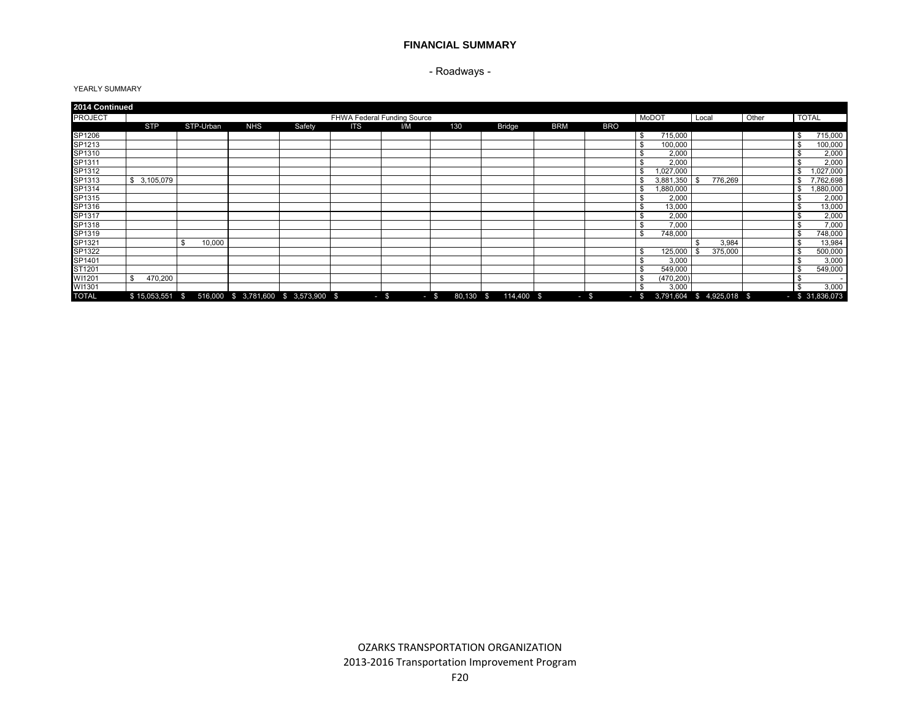## - Roadways -

| 2014 Continued |                  |           |            |                                      |                             |        |                |                            |            |            |            |                           |       |                   |
|----------------|------------------|-----------|------------|--------------------------------------|-----------------------------|--------|----------------|----------------------------|------------|------------|------------|---------------------------|-------|-------------------|
| <b>PROJECT</b> |                  |           |            |                                      | FHWA Federal Funding Source |        |                |                            |            |            | MoDOT      | Local                     | Other | <b>TOTAL</b>      |
|                | <b>STP</b>       | STP-Urban | <b>NHS</b> | Safety                               | <b>ITS</b>                  | I/M    | 130            | <b>Bridge</b>              | <b>BRM</b> | <b>BRO</b> |            |                           |       |                   |
| SP1206         |                  |           |            |                                      |                             |        |                |                            |            |            | 715,000    |                           |       | \$<br>715,000     |
| SP1213         |                  |           |            |                                      |                             |        |                |                            |            |            | 100,000    |                           |       | 100,000<br>S      |
| SP1310         |                  |           |            |                                      |                             |        |                |                            |            |            | 2,000      |                           |       | 2,000             |
| SP1311         |                  |           |            |                                      |                             |        |                |                            |            |            | 2,000      |                           |       | 2,000<br>\$       |
| SP1312         |                  |           |            |                                      |                             |        |                |                            |            |            | 027,000    |                           |       | ,027,000<br>\$    |
| SP1313         | 3,105,079<br>\$. |           |            |                                      |                             |        |                |                            |            |            | 3,881,350  | 776,269<br>l \$           |       | .762,698          |
| SP1314         |                  |           |            |                                      |                             |        |                |                            |            |            | 1,880,000  |                           |       | ,880,000<br>\$    |
| SP1315         |                  |           |            |                                      |                             |        |                |                            |            |            | 2,000      |                           |       | 2,000<br>\$       |
| SP1316         |                  |           |            |                                      |                             |        |                |                            |            |            | 13,000     |                           |       | 13,000<br>\$      |
| SP1317         |                  |           |            |                                      |                             |        |                |                            |            |            | 2,000      |                           |       | 2,000             |
| SP1318         |                  |           |            |                                      |                             |        |                |                            |            |            | 7,000      |                           |       | 7,000             |
| SP1319         |                  |           |            |                                      |                             |        |                |                            |            |            | 748,000    |                           |       | 748,000<br>\$.    |
| SP1321         |                  | 10,000    |            |                                      |                             |        |                |                            |            |            |            | 3,984<br>- \$             |       | 13,984<br>\$      |
| SP1322         |                  |           |            |                                      |                             |        |                |                            |            |            | 125,000    | 375,000                   |       | 500,000           |
| SP1401         |                  |           |            |                                      |                             |        |                |                            |            |            | 3,000      |                           |       | 3,000             |
| ST1201         |                  |           |            |                                      |                             |        |                |                            |            |            | 549,000    |                           |       | 549,000<br>\$     |
| WI1201         | 470,200          |           |            |                                      |                             |        |                |                            |            |            | (470, 200) |                           |       |                   |
| WI1301         |                  |           |            |                                      |                             |        |                |                            |            |            | 3,000      |                           |       | 3,000<br>\$       |
| <b>TOTAL</b>   | \$15,053,551     | - \$      |            | 516,000 \$ 3,781,600 \$ 3,573,900 \$ |                             | $-$ \$ | 80,130<br>$-5$ | $\mathbf{s}$<br>114,400 \$ |            | $-$ \$     | $-$ \$     | 3,791,604 \$ 4,925,018 \$ |       | $-$ \$ 31,836,073 |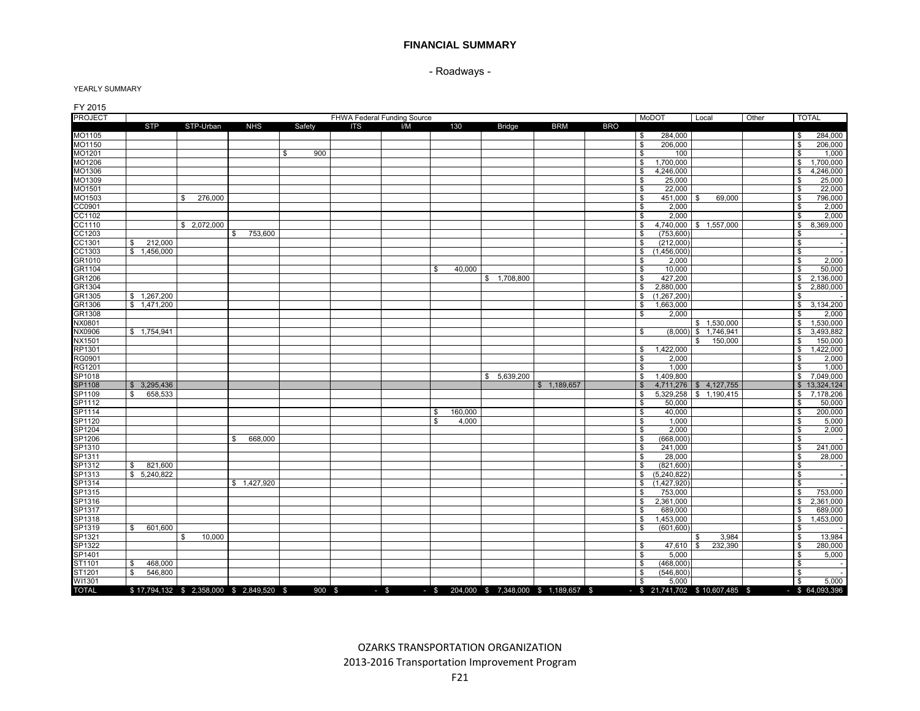- Roadways -

| FY 2015<br><b>PROJECT</b> |                         |                                         |               |           |            | FHWA Federal Funding Source |                                           |               |             |            | MoDOT                                             |                                       |       |                         | <b>TOTAL</b>               |
|---------------------------|-------------------------|-----------------------------------------|---------------|-----------|------------|-----------------------------|-------------------------------------------|---------------|-------------|------------|---------------------------------------------------|---------------------------------------|-------|-------------------------|----------------------------|
|                           | <b>STP</b>              | STP-Urban                               | <b>NHS</b>    | Safety    | <b>ITS</b> | I/M                         | 130                                       | <b>Bridge</b> | <b>BRM</b>  | <b>BRO</b> |                                                   | Local                                 | Other |                         |                            |
| MO1105                    |                         |                                         |               |           |            |                             |                                           |               |             |            | 284,000<br>\$                                     |                                       |       | \$                      | 284,000                    |
| MO1150                    |                         |                                         |               |           |            |                             |                                           |               |             |            | 206,000<br>\$                                     |                                       |       | \$                      | 206,000                    |
| MO1201                    |                         |                                         |               | \$<br>900 |            |                             |                                           |               |             |            | \$<br>100                                         |                                       |       | \$                      | 1,000                      |
| MO1206                    |                         |                                         |               |           |            |                             |                                           |               |             |            | 1,700,000<br>\$                                   |                                       |       | \$                      | 1,700,000                  |
| MO1306                    |                         |                                         |               |           |            |                             |                                           |               |             |            | 4,246,000<br>\$                                   |                                       |       | \$                      | 4,246,000                  |
| MO1309                    |                         |                                         |               |           |            |                             |                                           |               |             |            | 25,000<br>\$                                      |                                       |       | \$                      | 25,000                     |
| MO1501                    |                         |                                         |               |           |            |                             |                                           |               |             |            | 22,000<br>\$                                      |                                       |       | \$                      | 22,000                     |
| MO1503                    |                         | 276,000<br>\$.                          |               |           |            |                             |                                           |               |             |            | \$<br>451,000 \$                                  | 69,000                                |       | \$                      | 796,000                    |
| CC0901                    |                         |                                         |               |           |            |                             |                                           |               |             |            | 2,000<br>\$                                       |                                       |       | \$                      | 2,000                      |
| CC1102                    |                         |                                         |               |           |            |                             |                                           |               |             |            | 2,000<br>\$                                       |                                       |       | \$                      | 2,000                      |
| CC1110                    |                         | \$2,072,000                             |               |           |            |                             |                                           |               |             |            | \$                                                | 4,740,000 \$ 1,557,000                |       | \$                      | 8,369,000                  |
| CC1203                    |                         |                                         | 753,600<br>\$ |           |            |                             |                                           |               |             |            | \$<br>(753.600)                                   |                                       |       | \$                      |                            |
| CC1301                    | 212,000<br>\$           |                                         |               |           |            |                             |                                           |               |             |            | \$<br>(212,000)                                   |                                       |       | \$                      |                            |
| CC1303                    | \$1,456,000             |                                         |               |           |            |                             |                                           |               |             |            | (1,456,000)                                       |                                       |       | \$                      |                            |
| GR1010                    |                         |                                         |               |           |            |                             |                                           |               |             |            | \$<br>2,000<br>\$                                 |                                       |       | \$                      | 2,000                      |
|                           |                         |                                         |               |           |            |                             |                                           |               |             |            | 10,000<br>\$                                      |                                       |       | \$                      |                            |
| GR1104                    |                         |                                         |               |           |            |                             | 40,000<br>\$                              |               |             |            |                                                   |                                       |       |                         | 50,000                     |
| GR1206                    |                         |                                         |               |           |            |                             |                                           | \$1,708,800   |             |            | 427,200<br>\$<br>\$                               |                                       |       | \$                      | 2,136,000                  |
| GR1304                    |                         |                                         |               |           |            |                             |                                           |               |             |            | 2,880,000<br>\$                                   |                                       |       | \$                      | 2,880,000                  |
| GR1305                    | \$1,267,200             |                                         |               |           |            |                             |                                           |               |             |            | (1,267,200)                                       |                                       |       | \$                      |                            |
| GR1306<br>GR1308          | \$1.471.200             |                                         |               |           |            |                             |                                           |               |             |            | \$<br>1.663.000<br>$\mathbf{\hat{s}}$<br>2,000    |                                       |       | \$<br>\$                | 3,134,200                  |
|                           |                         |                                         |               |           |            |                             |                                           |               |             |            |                                                   |                                       |       | \$                      | 2,000                      |
| NX0801<br>NX0906          | \$ 1,754,941            |                                         |               |           |            |                             |                                           |               |             |            | \$                                                | \$1,530,000<br>$(8,000)$ \$ 1,746,941 |       |                         | 1,530,000<br>3,493,882     |
|                           |                         |                                         |               |           |            |                             |                                           |               |             |            |                                                   |                                       |       | \$                      |                            |
| NX1501                    |                         |                                         |               |           |            |                             |                                           |               |             |            |                                                   | 150,000<br>\$                         |       | \$                      | 150,000                    |
| RP1301                    |                         |                                         |               |           |            |                             |                                           |               |             |            | 1,422,000<br>\$                                   |                                       |       | \$                      | 1,422,000                  |
| RG0901                    |                         |                                         |               |           |            |                             |                                           |               |             |            | \$<br>2,000                                       |                                       |       | \$                      | 2,000                      |
| RG1201                    |                         |                                         |               |           |            |                             |                                           |               |             |            | \$<br>1,000<br>\$<br>1.409.800                    |                                       |       | \$<br>$\mathbf{s}$      | 1,000<br>7.049.000         |
| SP1018<br><b>SP1108</b>   |                         |                                         |               |           |            |                             |                                           | \$5,639,200   |             |            | \$                                                | 4,711,276 \$4,127,755                 |       |                         |                            |
|                           | \$3,295,436             |                                         |               |           |            |                             |                                           |               | \$1,189,657 |            | \$                                                |                                       |       |                         | \$13,324,124               |
| SP1109                    | 658,533<br>S.           |                                         |               |           |            |                             |                                           |               |             |            | \$<br>50,000                                      | 5,329,258 \$ 1,190,415                |       | \$                      | 7,178,206                  |
| SP1112                    |                         |                                         |               |           |            |                             |                                           |               |             |            |                                                   |                                       |       | \$                      | 50,000                     |
| SP1114                    |                         |                                         |               |           |            |                             | \$<br>160,000<br>4,000<br>\$              |               |             |            | \$<br>40,000<br>\$<br>1,000                       |                                       |       | \$<br>\$                | 200,000<br>5,000           |
| SP1120<br>SP1204          |                         |                                         |               |           |            |                             |                                           |               |             |            | \$<br>2,000                                       |                                       |       | \$                      | 2,000                      |
| SP1206                    |                         |                                         | 668,000<br>\$ |           |            |                             |                                           |               |             |            | $\mathbf{s}$<br>(668,000)                         |                                       |       | $\mathfrak{s}$          |                            |
| SP1310                    |                         |                                         |               |           |            |                             |                                           |               |             |            | $\mathbf{\hat{s}}$<br>241,000                     |                                       |       | $\overline{\mathbf{s}}$ | 241,000                    |
| SP1311                    |                         |                                         |               |           |            |                             |                                           |               |             |            | \$<br>28,000                                      |                                       |       | \$                      | 28,000                     |
| SP1312                    | 821,600<br>S.           |                                         |               |           |            |                             |                                           |               |             |            | \$<br>(821,600)                                   |                                       |       | \$                      |                            |
| SP1313                    | \$ 5.240.822            |                                         |               |           |            |                             |                                           |               |             |            | (5, 240, 822)<br>\$                               |                                       |       | \$                      |                            |
| SP1314                    |                         |                                         | \$1,427,920   |           |            |                             |                                           |               |             |            | (1,427,920)<br>\$                                 |                                       |       | \$                      |                            |
|                           |                         |                                         |               |           |            |                             |                                           |               |             |            | \$                                                |                                       |       |                         | 753,000                    |
| SP1315                    |                         |                                         |               |           |            |                             |                                           |               |             |            | 753,000                                           |                                       |       | \$                      |                            |
| SP1316                    |                         |                                         |               |           |            |                             |                                           |               |             |            | \$<br>2,361,000                                   |                                       |       | \$                      | 2,361,000                  |
| SP1317                    |                         |                                         |               |           |            |                             |                                           |               |             |            | 689,000<br>\$<br>$\sqrt{3}$                       |                                       |       | \$                      | 689,000                    |
| SP1318                    |                         |                                         |               |           |            |                             |                                           |               |             |            | 1,453,000                                         |                                       |       | \$                      | 1,453,000                  |
| SP1319                    | 601.600<br>$\mathbb{S}$ |                                         |               |           |            |                             |                                           |               |             |            | (601.600)<br>\$                                   |                                       |       | \$                      |                            |
| SP1321                    |                         | 10,000<br>\$                            |               |           |            |                             |                                           |               |             |            |                                                   | 3.984<br>\$                           |       | \$                      | 13,984                     |
| SP1322                    |                         |                                         |               |           |            |                             |                                           |               |             |            | $47,610$ \$<br>\$                                 | 232.390                               |       | \$                      | 280,000                    |
| SP1401                    |                         |                                         |               |           |            |                             |                                           |               |             |            | \$<br>5.000                                       |                                       |       | \$                      | 5,000                      |
| ST1101                    | 468,000<br>- \$         |                                         |               |           |            |                             |                                           |               |             |            | (468,000)<br>\$                                   |                                       |       | \$                      |                            |
| ST1201                    | \$<br>546,800           |                                         |               |           |            |                             |                                           |               |             |            | (546, 800)<br>\$                                  |                                       |       | \$                      |                            |
| WI1301<br><b>TOTAL</b>    |                         | \$17,794,132 \$2,358,000 \$2,849,520 \$ |               | 900 \$    |            | $-$ \$                      | - \$ 204,000 \$ 7,348,000 \$ 1,189,657 \$ |               |             |            | \$<br>5,000<br>$-$ \$ 21,741,702 \$ 10,607,485 \$ |                                       |       | \$                      | 5,000<br>$-$ \$ 64,093,396 |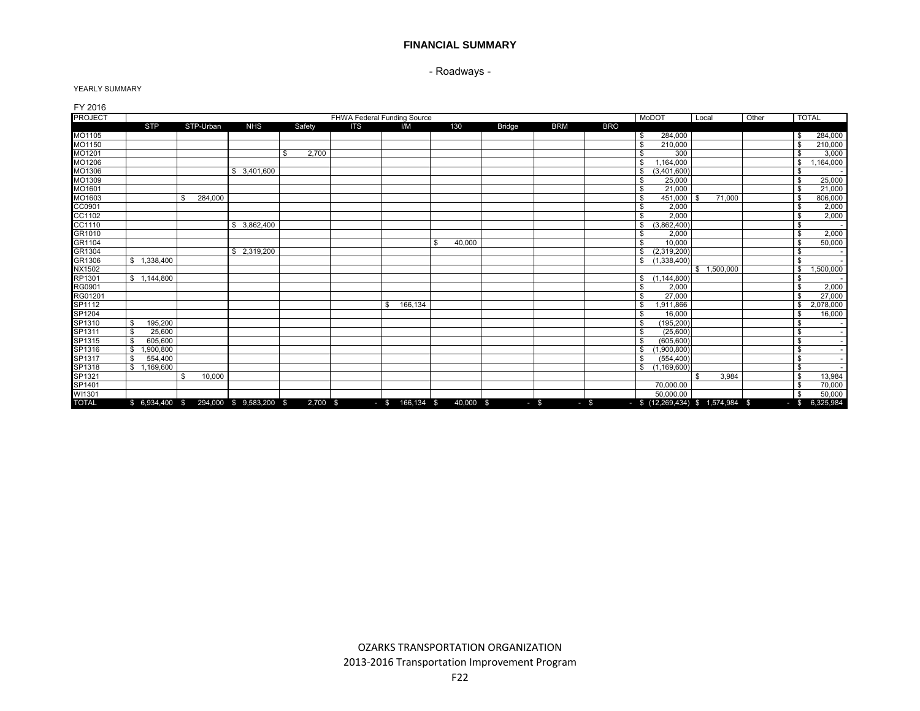- Roadways -

| FY 2016                    |                 |                                          |                 |             |            |                             |                |               |            |            |                                     |           |       |                  |           |
|----------------------------|-----------------|------------------------------------------|-----------------|-------------|------------|-----------------------------|----------------|---------------|------------|------------|-------------------------------------|-----------|-------|------------------|-----------|
| <b>PROJECT</b>             |                 |                                          |                 |             |            | FHWA Federal Funding Source |                |               |            |            | MoDOT                               | Local     | Other | <b>TOTAL</b>     |           |
|                            | <b>STP</b>      | STP-Urban                                | <b>NHS</b>      | Safety      | <b>ITS</b> | I/M                         | 130            | <b>Bridge</b> | <b>BRM</b> | <b>BRO</b> |                                     |           |       |                  |           |
| MO1105                     |                 |                                          |                 |             |            |                             |                |               |            |            | 284,000                             |           |       | \$               | 284,000   |
| MO1150                     |                 |                                          |                 |             |            |                             |                |               |            |            | \$<br>210.000                       |           |       | <b>S</b>         | 210,000   |
| MO1201                     |                 |                                          |                 | 2,700<br>£. |            |                             |                |               |            |            | \$.<br>300                          |           |       | \$               | 3,000     |
|                            |                 |                                          |                 |             |            |                             |                |               |            |            | 1,164,000                           |           |       | \$               | ,164,000  |
| MO1206<br>MO1306           |                 |                                          | 3,401,600<br>\$ |             |            |                             |                |               |            |            | \$<br>(3,401,600)                   |           |       | \$               |           |
| MO1309                     |                 |                                          |                 |             |            |                             |                |               |            |            | 25,000<br>\$                        |           |       | \$               | 25,000    |
| MO1601                     |                 |                                          |                 |             |            |                             |                |               |            |            | 21.000<br>\$                        |           |       | \$               | 21,000    |
| MO1603                     |                 | 284.000                                  |                 |             |            |                             |                |               |            |            | \$.<br>451.000                      | 71,000    |       | \$               | 806,000   |
|                            |                 |                                          |                 |             |            |                             |                |               |            |            | 2,000<br>\$                         |           |       | \$               | 2,000     |
| CC0901<br>CC1102<br>CC1102 |                 |                                          |                 |             |            |                             |                |               |            |            | 2,000<br>\$                         |           |       | \$               | 2,000     |
|                            |                 |                                          | \$<br>3,862,400 |             |            |                             |                |               |            |            | \$<br>(3,862,400)                   |           |       | <b>S</b>         |           |
| GR1010                     |                 |                                          |                 |             |            |                             |                |               |            |            | \$.<br>2.000                        |           |       | \$               | 2,000     |
| GR1104                     |                 |                                          |                 |             |            |                             | 40,000<br>. \$ |               |            |            | \$<br>10,000                        |           |       | \$               | 50,000    |
|                            |                 |                                          | \$ 2,319,200    |             |            |                             |                |               |            |            | (2,319,200)<br>\$                   |           |       | \$               |           |
|                            | \$1,338,400     |                                          |                 |             |            |                             |                |               |            |            | \$<br>(1,338,400)                   |           |       | <b>S</b>         |           |
| GR1304<br>GR1306<br>NX1502 |                 |                                          |                 |             |            |                             |                |               |            |            |                                     | 1,500,000 |       | \$               | ,500,000  |
| RP1301                     | \$1,144,800     |                                          |                 |             |            |                             |                |               |            |            | (1, 144, 800)<br>\$                 |           |       | \$               |           |
| RG0901                     |                 |                                          |                 |             |            |                             |                |               |            |            | 2,000<br>\$                         |           |       | \$               | 2,000     |
| RG01201                    |                 |                                          |                 |             |            |                             |                |               |            |            | 27.000<br>\$                        |           |       | \$               | 27,000    |
|                            |                 |                                          |                 |             |            | 166,134<br>\$               |                |               |            |            | 1,911,866<br>\$                     |           |       | \$               | 2,078,000 |
|                            |                 |                                          |                 |             |            |                             |                |               |            |            | 16,000<br>\$                        |           |       | \$               | 16,000    |
| SP1112<br>SP1204<br>SP1310 | 195,200         |                                          |                 |             |            |                             |                |               |            |            | (195.200)<br>\$                     |           |       | <b>S</b>         |           |
| SP1311                     | 25,600          |                                          |                 |             |            |                             |                |               |            |            | (25.600)<br>\$                      |           |       | \$               |           |
| SP1315                     | 605.600<br>\$   |                                          |                 |             |            |                             |                |               |            |            | \$<br>(605, 600)                    |           |       | \$               |           |
| SP1316<br>SP1317<br>SP1318 | 1,900,800<br>\$ |                                          |                 |             |            |                             |                |               |            |            | \$<br>(1,900,800)                   |           |       | <b>S</b>         |           |
|                            | 554,400<br>- \$ |                                          |                 |             |            |                             |                |               |            |            | \$<br>(554, 400)                    |           |       | <b>S</b>         |           |
|                            | \$1,169,600     |                                          |                 |             |            |                             |                |               |            |            | \$<br>(1, 169, 600)                 |           |       | <b>S</b>         |           |
| SP1321                     |                 | 10,000                                   |                 |             |            |                             |                |               |            |            |                                     | 3,984     |       | $\mathbf{s}$     | 13,984    |
| SP1401                     |                 |                                          |                 |             |            |                             |                |               |            |            | 70,000.00                           |           |       | \$               | 70,000    |
| WI1301                     |                 |                                          |                 |             |            |                             |                |               |            |            | 50,000.00                           |           |       | \$               | 50,000    |
| <b>TOTAL</b>               |                 | $$6,934,400$ $$294,000$ $$9,583,200$ $$$ |                 | 2,700 \$    |            | $-$ \$ 166,134 \$           | 40,000 \$      |               | $-$ \$     | $-5$       | $-$ \$ (12,269,434) \$ 1,574,984 \$ |           |       | $-$ \$ 6,325,984 |           |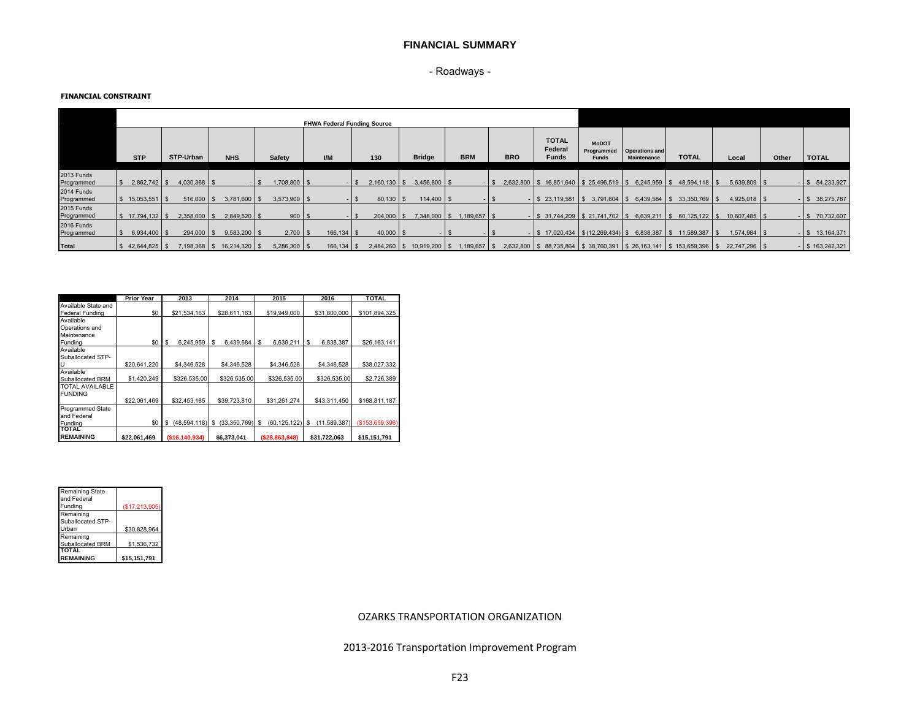## - Roadways -

#### **FINANCIAL CONSTRAINT**

|                          |                 |                |                |                         | <b>FHWA Federal Funding Source</b> |                |                |                           |            |                                          |                                            |                                             |                                                                                 |                                                                             |       |                    |
|--------------------------|-----------------|----------------|----------------|-------------------------|------------------------------------|----------------|----------------|---------------------------|------------|------------------------------------------|--------------------------------------------|---------------------------------------------|---------------------------------------------------------------------------------|-----------------------------------------------------------------------------|-------|--------------------|
|                          | <b>STP</b>      | STP-Urban      | <b>NHS</b>     | Safety                  | UM                                 | 130            | <b>Bridge</b>  | <b>BRM</b>                | <b>BRO</b> | <b>TOTAL</b><br>Federal<br><b>Funds</b>  | <b>MoDOT</b><br>Programmed<br><b>Funds</b> | <b>Operations and</b><br><b>Maintenance</b> | <b>TOTAL</b>                                                                    | Local                                                                       | Other | <b>TOTAL</b>       |
|                          |                 |                |                |                         |                                    |                |                |                           |            |                                          |                                            |                                             |                                                                                 |                                                                             |       |                    |
| 2013 Funds<br>Programmed | $2,862,742$ \$  | $4,030,368$ \$ |                | 1,708,800 \$<br>$-1$ \$ |                                    | $2,160,130$ \$ | $3,456,800$ \$ |                           |            | 2,632,800 \$ 16,851,640 \$ 25,496,519 \$ |                                            |                                             | $6,245,959$ \$ 48,594,118 \$                                                    | $5,639,809$ \$                                                              |       | $-$ \$ 54,233,927  |
| 2014 Funds<br>Programmed | 15,053,551 \$   | 516,000        | $3,781,600$ \$ | $3,573,900$ \$          |                                    | $80,130$ \$    | 114,400 \$     |                           |            | $-$ \$ 23,119,581 \$                     | $3,791,604$ \$                             | 6,439,584 \$                                | 33,350,769 \$                                                                   | $4,925,018$ \$                                                              |       | $-$ \$ 38,275,787  |
| 2015 Funds<br>Programmed | 17,794,132   \$ | 2,358,000      | 2,849,520 \$   | 900S                    |                                    | 204,000        | IS.            | 7,348,000 \$ 1,189,657 \$ |            |                                          |                                            |                                             |                                                                                 | $-$ \$ 31,744,209 \$ 21,741,702 \$ 6,639,211 \$ 60,125,122 \$ 10,607,485 \$ |       | $-$ \$ 70,732,607  |
| 2016 Funds<br>Programmed | 6,934,400 \$    | 294,000 \$     | $9,583,200$ \$ | $2,700$ \$              | $166, 134$ \$                      | $40,000$ \$    |                | -15                       |            | $-$ \$ 17,020,434 \$ (12,269,434) \$     |                                            |                                             | 6,838,387 \$ 11,589,387 \$                                                      | 1,574,984 \$                                                                |       | $-$ \$ 13,164,371  |
| Total                    | 42,644,825 \$   | 7,198,368 \$   | 16,214,320 \$  | $5,286,300$ \$          | 166,134 \$                         | $2,484,260$ \$ | 10,919,200 \$  | 1,189,657 \$              |            |                                          |                                            |                                             | 2,632,800   \$ 88,735,864   \$ 38,760,391   \$ 26,163,141   \$ 153,659,396   \$ | 22,747,296 \$                                                               |       | $-$ \$ 163,242,321 |

|                        | <b>Prior Year</b> | 2013                 | 2014              | 2015                   | 2016               | <b>TOTAL</b>   |
|------------------------|-------------------|----------------------|-------------------|------------------------|--------------------|----------------|
| Available State and    |                   |                      |                   |                        |                    |                |
| <b>Federal Funding</b> | \$0               | \$21,534,163         | \$28,611,163      | \$19,949,000           | \$31,800,000       | \$101,894,325  |
| Available              |                   |                      |                   |                        |                    |                |
| Operations and         |                   |                      |                   |                        |                    |                |
| Maintenance            |                   |                      |                   |                        |                    |                |
| Funding                | \$0               | 6,245,959<br>S       | 6,439,584<br>s    | 6,639,211<br>\$        | 6,838,387<br>S     | \$26,163,141   |
| Available              |                   |                      |                   |                        |                    |                |
| Suballocated STP-      |                   |                      |                   |                        |                    |                |
|                        | \$20,641,220      | \$4,346,528          | \$4,346,528       | \$4,346,528            | \$4,346,528        | \$38,027,332   |
| Available              |                   |                      |                   |                        |                    |                |
| Suballocated BRM       | \$1,420,249       | \$326,535.00         | \$326,535.00      | \$326,535.00           | \$326,535.00       | \$2,726,389    |
| <b>TOTAL AVAILABLE</b> |                   |                      |                   |                        |                    |                |
| <b>FUNDING</b>         |                   |                      |                   |                        |                    |                |
|                        | \$22,061,469      | \$32,453,185         | \$39,723,810      | \$31,261,274           | \$43,311,450       | \$168,811,187  |
| Programmed State       |                   |                      |                   |                        |                    |                |
| and Federal            |                   |                      |                   |                        |                    |                |
| Fundina                | \$0               | (48, 594, 118)<br>\$ | (33.350.769)<br>s | (60, 125, 122)<br>- \$ | (11,589,387)<br>S. | (S153.659.396) |
| <b>TOTAL</b>           |                   |                      |                   |                        |                    |                |
| <b>REMAINING</b>       | \$22,061,469      | (\$16,140,934)       | \$6,373,041       | ( \$28, 863, 848)      | \$31,722,063       | \$15,151,791   |

| Remaining State<br>and Federal<br>Funding                         | (S17, 213, 905)             |
|-------------------------------------------------------------------|-----------------------------|
| Remaining<br>Suballocated STP-<br>Urban                           | \$30,828,964                |
| Remaining<br>Suballocated BRM<br><b>TOTAL</b><br><b>REMAINING</b> | \$1,536,732<br>\$15,151,791 |

### OZARKS TRANSPORTATION ORGANIZATION

2013-2016 Transportation Improvement Program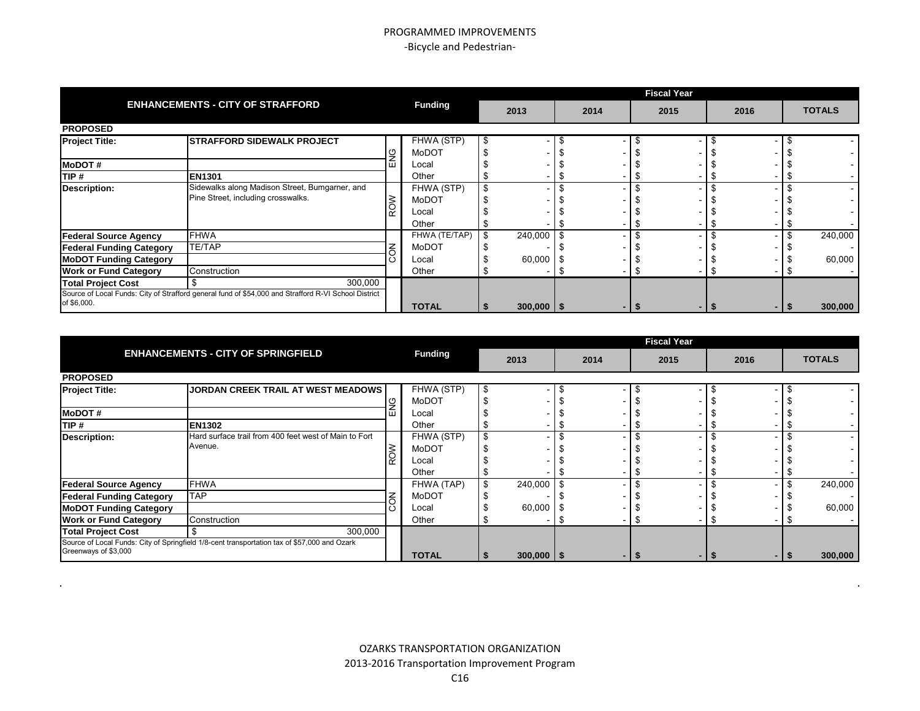|                                 |                                                                                                      |                |    |                |      | <b>Fiscal Year</b> |      |  |               |
|---------------------------------|------------------------------------------------------------------------------------------------------|----------------|----|----------------|------|--------------------|------|--|---------------|
|                                 | <b>ENHANCEMENTS - CITY OF STRAFFORD</b>                                                              | <b>Funding</b> |    | 2013           | 2014 | 2015               | 2016 |  | <b>TOTALS</b> |
| <b>PROPOSED</b>                 |                                                                                                      |                |    |                |      |                    |      |  |               |
| <b>Project Title:</b>           | <b>ISTRAFFORD SIDEWALK PROJECT</b>                                                                   | FHWA (STP)     | -S |                |      |                    |      |  |               |
|                                 |                                                                                                      | <b>MoDOT</b>   |    |                |      |                    |      |  |               |
| <b>MoDOT#</b>                   |                                                                                                      | Local          |    |                |      |                    |      |  |               |
| TIP#                            | <b>EN1301</b>                                                                                        | Other          |    |                |      |                    |      |  |               |
| <b>Description:</b>             | Sidewalks along Madison Street, Bumgarner, and                                                       | FHWA (STP)     |    |                |      |                    |      |  |               |
|                                 | Pine Street, including crosswalks.                                                                   | MoDOT          |    |                |      |                    |      |  |               |
|                                 |                                                                                                      | Local          |    |                |      |                    |      |  |               |
|                                 |                                                                                                      | Other          |    |                |      |                    |      |  |               |
| <b>Federal Source Agency</b>    | <b>FHWA</b>                                                                                          | FHWA (TE/TAP)  |    | 240,000        |      |                    |      |  | 240,000       |
| <b>Federal Funding Category</b> | <b>TE/TAP</b>                                                                                        | <b>MoDOT</b>   |    |                |      |                    |      |  |               |
| <b>MoDOT Funding Category</b>   |                                                                                                      | Local          |    | 60,000         |      |                    |      |  | 60,000        |
| <b>Work or Fund Category</b>    | Construction                                                                                         | Other          |    |                |      |                    |      |  |               |
| <b>Total Project Cost</b>       | 300,000<br>.ኖ                                                                                        |                |    |                |      |                    |      |  |               |
| of \$6,000.                     | Source of Local Funds: City of Strafford general fund of \$54,000 and Strafford R-VI School District | <b>TOTAL</b>   |    | $300,000$   \$ |      |                    |      |  | 300,000       |

|                                 |                                                                                              |   |                |                |      | <b>Fiscal Year</b> |      |               |
|---------------------------------|----------------------------------------------------------------------------------------------|---|----------------|----------------|------|--------------------|------|---------------|
|                                 | <b>ENHANCEMENTS - CITY OF SPRINGFIELD</b>                                                    |   | <b>Funding</b> | 2013           | 2014 | 2015               | 2016 | <b>TOTALS</b> |
| <b>PROPOSED</b>                 |                                                                                              |   |                |                |      |                    |      |               |
| <b>Project Title:</b>           | <b>JORDAN CREEK TRAIL AT WEST MEADOWS</b>                                                    |   | FHWA (STP)     | \$             |      |                    |      |               |
|                                 |                                                                                              |   | <b>MoDOT</b>   |                |      |                    |      |               |
| <b>MoDOT#</b>                   |                                                                                              | ш | Local          |                |      |                    |      |               |
| TIP #                           | <b>EN1302</b>                                                                                |   | Other          |                |      |                    |      |               |
| <b>Description:</b>             | Hard surface trail from 400 feet west of Main to Fort                                        |   | FHWA (STP)     | \$             |      |                    |      |               |
|                                 | Avenue.                                                                                      | š | MoDOT          |                |      |                    |      |               |
|                                 |                                                                                              | Ñ | Local          |                |      |                    |      |               |
|                                 |                                                                                              |   | Other          |                |      |                    |      |               |
| <b>Federal Source Agency</b>    | <b>FHWA</b>                                                                                  |   | FHWA (TAP)     | \$<br>240,000  |      |                    |      | 240,000       |
| <b>Federal Funding Category</b> | <b>TAP</b>                                                                                   | ξ | MoDOT          |                |      |                    |      |               |
| <b>MoDOT Funding Category</b>   |                                                                                              |   | Local          | 60,000         |      |                    |      | 60,000        |
| <b>Work or Fund Category</b>    | Construction                                                                                 |   | Other          |                |      | Ľ                  |      |               |
| <b>Total Project Cost</b>       | 300,000                                                                                      |   |                |                |      |                    |      |               |
| Greenways of \$3,000            | Source of Local Funds: City of Springfield 1/8-cent transportation tax of \$57,000 and Ozark |   | <b>TOTAL</b>   | $300,000$   \$ | - 1  |                    |      | 300,000       |

 $\sim$ 

 $\bullet$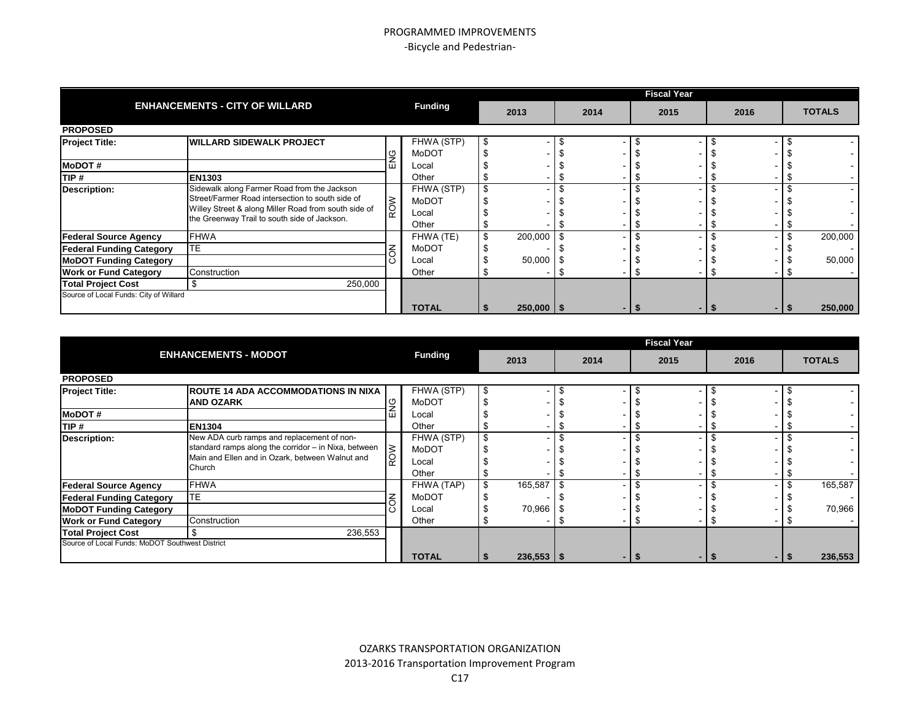|                                        |                                                      |           |                |    |                |     |      | <b>Fiscal Year</b> |      |               |
|----------------------------------------|------------------------------------------------------|-----------|----------------|----|----------------|-----|------|--------------------|------|---------------|
|                                        | <b>ENHANCEMENTS - CITY OF WILLARD</b>                |           | <b>Funding</b> |    | 2013           |     | 2014 | 2015               | 2016 | <b>TOTALS</b> |
| <b>PROPOSED</b>                        |                                                      |           |                |    |                |     |      |                    |      |               |
| <b>Project Title:</b>                  | <b>IWILLARD SIDEWALK PROJECT</b>                     |           | FHWA (STP)     | -S |                | -55 |      |                    |      |               |
|                                        |                                                      |           | MoDOT          |    |                |     |      |                    |      |               |
| <b>MoDOT#</b>                          |                                                      |           | Local          |    |                |     |      |                    |      |               |
| TIP#                                   | <b>EN1303</b>                                        |           | Other          |    |                |     |      |                    |      |               |
| <b>Description:</b>                    | Sidewalk along Farmer Road from the Jackson          |           | FHWA (STP)     |    |                |     |      |                    |      |               |
|                                        | Street/Farmer Road intersection to south side of     | <b>MO</b> | MoDOT          |    |                |     |      |                    |      |               |
|                                        | Willey Street & along Miller Road from south side of |           | Local          |    |                |     |      |                    |      |               |
|                                        | the Greenway Trail to south side of Jackson.         |           | Other          |    |                |     |      |                    |      |               |
| <b>Federal Source Agency</b>           | <b>FHWA</b>                                          |           | FHWA (TE)      |    | 200,000        |     |      |                    |      | 200,000       |
| <b>Federal Funding Category</b>        | <b>TE</b>                                            |           | MoDOT          |    |                |     |      |                    |      |               |
| <b>MoDOT Funding Category</b>          |                                                      |           | Local          |    | 50,000         |     |      |                    |      | 50,000        |
| <b>Work or Fund Category</b>           | Construction                                         |           | Other          |    |                |     |      |                    |      |               |
| <b>Total Project Cost</b>              | $\mathbf{f}$<br>250,000                              |           |                |    |                |     |      |                    |      |               |
| Source of Local Funds: City of Willard |                                                      |           |                |    |                |     |      |                    |      |               |
|                                        |                                                      |           | <b>TOTAL</b>   |    | $250,000$   \$ |     |      |                    |      | 250,000       |

|                                                 |                                                                                                                                                                 |        |                                              |              |      | <b>Fiscal Year</b> |      |               |         |
|-------------------------------------------------|-----------------------------------------------------------------------------------------------------------------------------------------------------------------|--------|----------------------------------------------|--------------|------|--------------------|------|---------------|---------|
|                                                 | <b>ENHANCEMENTS - MODOT</b>                                                                                                                                     |        | <b>Funding</b>                               | 2013         | 2014 | 2015               | 2016 | <b>TOTALS</b> |         |
| <b>PROPOSED</b>                                 |                                                                                                                                                                 |        |                                              |              |      |                    |      |               |         |
| <b>Project Title:</b>                           | <b>ROUTE 14 ADA ACCOMMODATIONS IN NIXA</b><br><b>AND OZARK</b>                                                                                                  |        | FHWA (STP)<br>MoDOT                          |              |      |                    |      |               |         |
| <b>MoDOT#</b>                                   |                                                                                                                                                                 | ш      | Local                                        |              |      |                    |      |               |         |
| TIP#                                            | <b>EN1304</b>                                                                                                                                                   |        | Other                                        |              |      |                    |      |               |         |
| <b>Description:</b>                             | New ADA curb ramps and replacement of non-<br>standard ramps along the corridor - in Nixa, between<br>Main and Ellen and in Ozark, between Walnut and<br>Church | $\leq$ | FHWA (STP)<br><b>MoDOT</b><br>Local<br>Other |              |      |                    |      |               |         |
| <b>Federal Source Agency</b>                    | <b>FHWA</b>                                                                                                                                                     |        | FHWA (TAP)                                   | 165,587      |      |                    |      |               | 165,587 |
| <b>Federal Funding Category</b>                 | TE.                                                                                                                                                             |        | MoDOT                                        |              |      |                    |      |               |         |
| <b>MoDOT Funding Category</b>                   |                                                                                                                                                                 |        | Local                                        | 70,966       |      |                    |      |               | 70,966  |
| <b>Work or Fund Category</b>                    | Construction                                                                                                                                                    |        | Other                                        |              |      |                    |      |               |         |
| <b>Total Project Cost</b>                       | 236,553                                                                                                                                                         |        |                                              |              |      |                    |      |               |         |
| Source of Local Funds: MoDOT Southwest District |                                                                                                                                                                 |        | <b>TOTAL</b>                                 | $236,553$ \$ |      |                    | - 15 |               | 236,553 |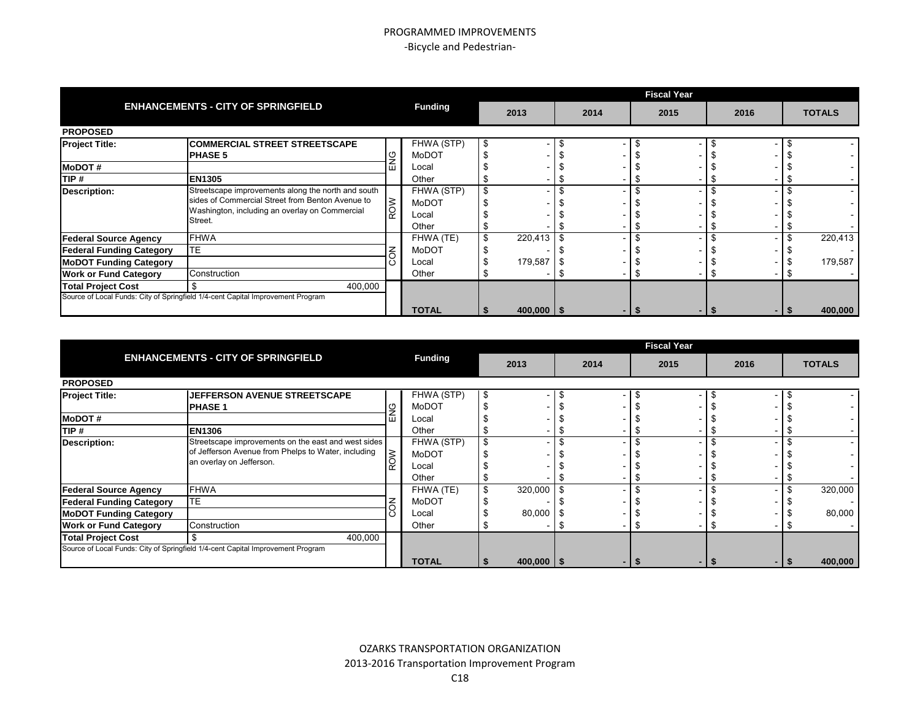|                                 |                                                                                 |                |                |      |      | <b>Fiscal Year</b> |      |               |
|---------------------------------|---------------------------------------------------------------------------------|----------------|----------------|------|------|--------------------|------|---------------|
|                                 | <b>ENHANCEMENTS - CITY OF SPRINGFIELD</b>                                       | <b>Funding</b> | 2013           |      | 2014 | 2015               | 2016 | <b>TOTALS</b> |
| <b>PROPOSED</b>                 |                                                                                 |                |                |      |      |                    |      |               |
| <b>Project Title:</b>           | <b>COMMERCIAL STREET STREETSCAPE</b>                                            | FHWA (STP)     |                |      |      |                    |      |               |
|                                 | <b>PHASE 5</b>                                                                  | MoDOT          |                |      |      |                    |      |               |
| <b>MoDOT#</b>                   |                                                                                 | Local          |                |      |      |                    |      |               |
| TIP #                           | <b>EN1305</b>                                                                   | Other          |                |      |      |                    |      |               |
| Description:                    | Streetscape improvements along the north and south                              | FHWA (STP)     |                |      |      |                    |      |               |
|                                 | sides of Commercial Street from Benton Avenue to                                | MoDOT          |                |      |      |                    |      |               |
|                                 | Washington, including an overlay on Commercial                                  | Local          |                |      |      |                    |      |               |
|                                 | Street.                                                                         | Other          |                |      |      |                    |      |               |
| <b>Federal Source Agency</b>    | <b>FHWA</b>                                                                     | FHWA (TE)      | 220,413        | - \$ |      |                    |      | 220,413       |
| <b>Federal Funding Category</b> | TE                                                                              | <b>MoDOT</b>   |                |      |      |                    |      |               |
| <b>MoDOT Funding Category</b>   |                                                                                 | Local          | 179,587        |      |      |                    |      | 179,587       |
| <b>Work or Fund Category</b>    | Construction                                                                    | Other          |                |      |      |                    |      |               |
| <b>Total Project Cost</b>       | 400,000                                                                         |                |                |      |      |                    |      |               |
|                                 | Source of Local Funds: City of Springfield 1/4-cent Capital Improvement Program |                |                |      |      |                    |      |               |
|                                 |                                                                                 | <b>TOTAL</b>   | $400,000$   \$ |      |      |                    |      | 400,000       |

|                                 |                                                                                 |        |                |   |                |    |      | <b>Fiscal Year</b> |      |  |               |
|---------------------------------|---------------------------------------------------------------------------------|--------|----------------|---|----------------|----|------|--------------------|------|--|---------------|
|                                 | <b>ENHANCEMENTS - CITY OF SPRINGFIELD</b>                                       |        | <b>Funding</b> |   | 2013           |    | 2014 | 2015               | 2016 |  | <b>TOTALS</b> |
| <b>PROPOSED</b>                 |                                                                                 |        |                |   |                |    |      |                    |      |  |               |
| <b>Project Title:</b>           | <b>JEFFERSON AVENUE STREETSCAPE</b>                                             |        | FHWA (STP)     | Æ |                |    |      |                    |      |  |               |
|                                 | <b>PHASE 1</b>                                                                  |        | MoDOT          |   |                |    |      |                    |      |  |               |
| <b>MoDOT#</b>                   |                                                                                 |        | Local          |   |                |    |      |                    |      |  |               |
| TIP #                           | <b>EN1306</b>                                                                   |        | Other          |   |                |    |      |                    |      |  |               |
| <b>Description:</b>             | Streetscape improvements on the east and west sides                             |        | FHWA (STP)     |   |                |    |      |                    |      |  |               |
|                                 | of Jefferson Avenue from Phelps to Water, including                             | $\leq$ | MoDOT          |   |                |    |      |                    |      |  |               |
|                                 | an overlay on Jefferson.                                                        |        | Local          |   |                |    |      |                    |      |  |               |
|                                 |                                                                                 |        | Other          |   |                |    |      |                    |      |  |               |
| <b>Federal Source Agency</b>    | <b>FHWA</b>                                                                     |        | FHWA (TE)      |   | 320,000        | £. |      |                    |      |  | 320,000       |
| <b>Federal Funding Category</b> | <b>TE</b>                                                                       |        | MoDOT          |   |                |    |      |                    |      |  |               |
| <b>MoDOT Funding Category</b>   |                                                                                 |        | Local          |   | 80,000         |    |      |                    |      |  | 80,000        |
| <b>Work or Fund Category</b>    | Construction                                                                    |        | Other          |   |                |    |      |                    |      |  |               |
| <b>Total Project Cost</b>       | 400,000                                                                         |        |                |   |                |    |      |                    |      |  |               |
|                                 | Source of Local Funds: City of Springfield 1/4-cent Capital Improvement Program |        |                |   |                |    |      |                    |      |  |               |
|                                 |                                                                                 |        | <b>TOTAL</b>   |   | $400,000$   \$ |    |      |                    |      |  | 400,000       |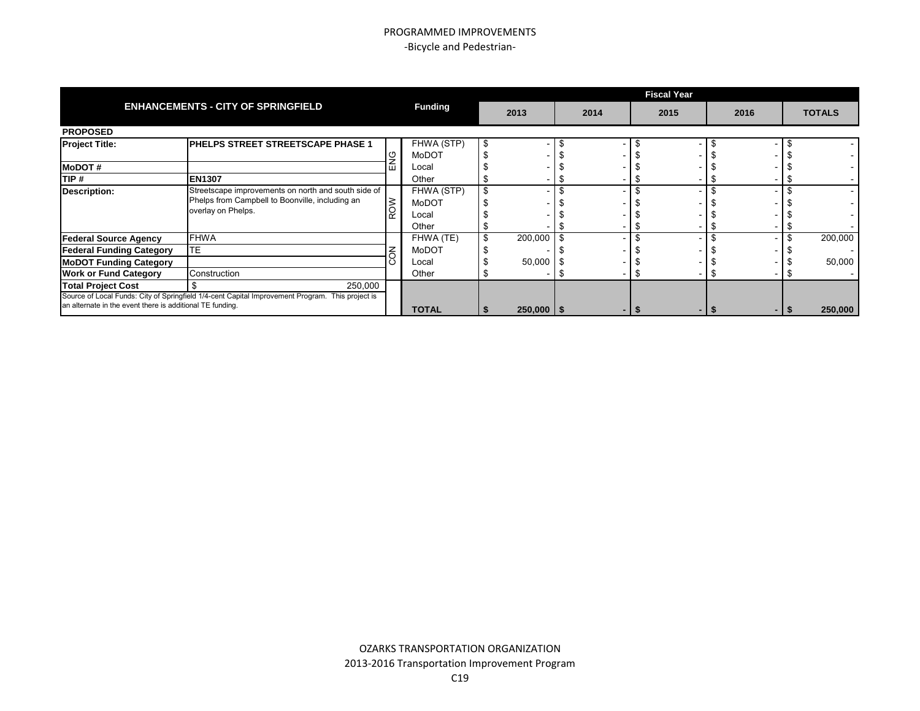|                                                           |                                                                                                  |                |                |      | <b>Fiscal Year</b> |      |               |
|-----------------------------------------------------------|--------------------------------------------------------------------------------------------------|----------------|----------------|------|--------------------|------|---------------|
|                                                           | <b>ENHANCEMENTS - CITY OF SPRINGFIELD</b>                                                        | <b>Funding</b> | 2013           | 2014 | 2015               | 2016 | <b>TOTALS</b> |
| <b>PROPOSED</b>                                           |                                                                                                  |                |                |      |                    |      |               |
| <b>Project Title:</b>                                     | <b>IPHELPS STREET STREETSCAPE PHASE 1</b>                                                        | FHWA (STP)     |                |      |                    |      |               |
|                                                           |                                                                                                  | <b>MoDOT</b>   |                |      |                    |      |               |
| <b>MoDOT#</b>                                             |                                                                                                  | Local          |                |      |                    |      |               |
| TIP #                                                     | <b>EN1307</b>                                                                                    | Other          |                |      |                    |      |               |
| <b>Description:</b>                                       | Streetscape improvements on north and south side of                                              | FHWA (STP)     |                |      |                    |      |               |
|                                                           | Phelps from Campbell to Boonville, including an                                                  | MoDOT          |                |      |                    |      |               |
|                                                           | overlay on Phelps.                                                                               | Local          |                |      |                    |      |               |
|                                                           |                                                                                                  | Other          |                |      |                    |      |               |
| <b>Federal Source Agency</b>                              | <b>FHWA</b>                                                                                      | FHWA (TE)      | $200,000$ \$   |      |                    |      | 200,000       |
| <b>Federal Funding Category</b>                           | TE.                                                                                              | MoDOT          |                |      |                    |      |               |
| <b>MoDOT Funding Category</b>                             |                                                                                                  | Local          | 50,000         |      |                    |      | 50,000        |
| <b>Work or Fund Category</b>                              | Construction                                                                                     | Other          |                |      |                    |      |               |
| <b>Total Project Cost</b>                                 | 250,000                                                                                          |                |                |      |                    |      |               |
| an alternate in the event there is additional TE funding. | Source of Local Funds: City of Springfield 1/4-cent Capital Improvement Program. This project is | <b>TOTAL</b>   | $250,000$   \$ |      |                    |      | 250,000       |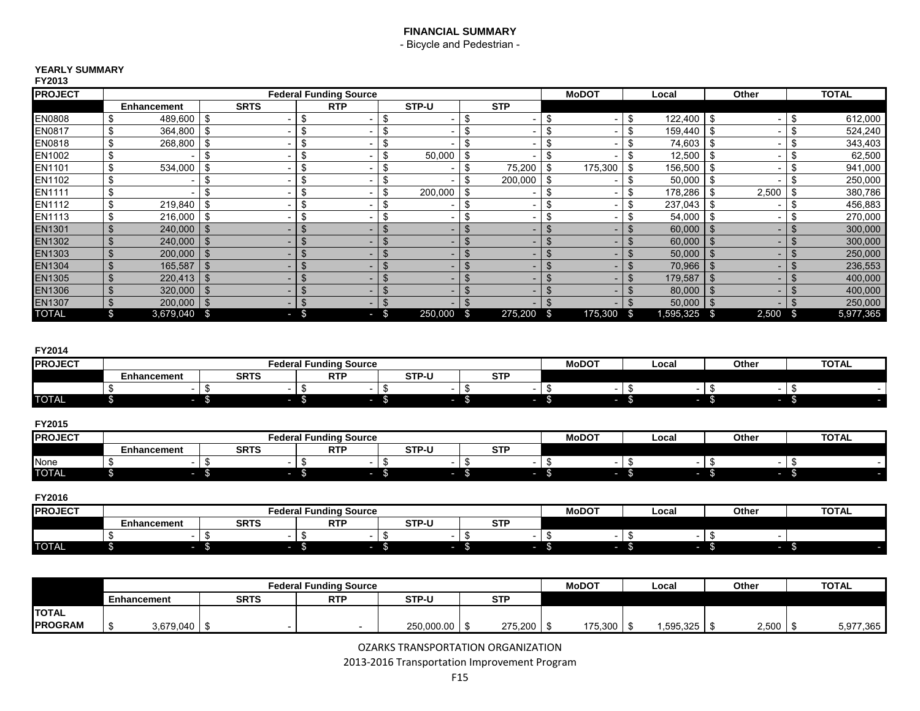- Bicycle and Pedestrian -

#### **YEARLY SUMMARY FY2013**

| .              |                |                |               |                          |               |                               |      |         |    |            |               |                |                |      |       |      |              |
|----------------|----------------|----------------|---------------|--------------------------|---------------|-------------------------------|------|---------|----|------------|---------------|----------------|----------------|------|-------|------|--------------|
| <b>PROJECT</b> |                |                |               |                          |               | <b>Federal Funding Source</b> |      |         |    |            | <b>MoDOT</b>  |                | Local          |      | Other |      | <b>TOTAL</b> |
|                |                | Enhancement    |               | <b>SRTS</b>              |               | <b>RTP</b>                    |      | STP-U   |    | <b>STP</b> |               |                |                |      |       |      |              |
| EN0808         |                | 489,600        | \$            | -                        | S             |                               | \$   |         | \$ |            |               | \$             | $122,400$ \ \$ |      |       |      | 612,000      |
| EN0817         | \$             | 364,800        | \$            |                          | S             |                               | \$.  |         |    |            |               | \$             | 159,440        | -\$  |       |      | 524,240      |
| EN0818         | \$             | 268,800        | \$            | -                        | S             |                               | Эħ   |         |    | -          |               | \$             | 74,603         |      |       |      | 343,403      |
| EN1002         | \$             |                |               | -                        | \$            |                               | \$   | 50,000  |    | ۰.         |               | \$             | 12,500         | \$   |       |      | 62,500       |
| EN1101         | \$             | 534,000        | -\$           |                          | $\sigma$<br>Œ |                               | \$   |         |    | 75,200     | 175,300       | \$             | 156,500        | -\$  |       |      | 941,000      |
| EN1102         | \$             |                |               |                          | \$            |                               | \$   |         | \$ | 200,000    | \$            | \$             | 50,000         | -\$  |       |      | 250,000      |
| EN1111         | \$             |                |               |                          | S             |                               | \$   | 200,000 | S  |            |               | \$             | 178,286        | -\$  | 2,500 |      | 380,786      |
| EN1112         | \$             | 219,840        | \$            |                          | S             |                               | \$   |         |    |            |               | \$             | 237,043        | -\$  |       |      | 456,883      |
| EN1113         | \$             | 216,000        | \$            | -                        | S             |                               | \$.  |         |    |            |               | \$             | 54,000         | - \$ |       |      | 270,000      |
| EN1301         | £.             | 240,000        | - \$          | -                        |               |                               |      |         |    |            |               | \$.            | 60,000         | - \$ |       |      | 300,000      |
| EN1302         | £.             | 240,000        | - \$          | -                        |               |                               |      |         |    |            |               |                | 60,000         |      |       |      | 300,000      |
| EN1303         | J.             | 200,000        | ්             |                          |               |                               |      |         |    |            |               | \$             | 50,000         |      |       |      | 250,000      |
| EN1304         | æ              | 165,587        | ් ති          |                          | æ             |                               |      |         |    |            |               | \$             | 70,966         |      |       |      | 236,553      |
| EN1305         | J.             | 220,413        | ් ති          | -                        | \$            |                               |      |         |    |            |               | $\mathfrak{L}$ | 179,587        |      |       |      | 400,000      |
| <b>EN1306</b>  |                | 320,000        | ් ති          | -                        | S             |                               |      |         |    |            |               | \$.            | 80,000         |      |       |      | 400,000      |
| <b>EN1307</b>  | $\mathfrak{L}$ | $200,000$ \ \$ |               | $\overline{\phantom{0}}$ | £.            | $\overline{\phantom{0}}$      | Ъ.   |         |    |            |               |                | 50,000         | - \$ |       |      | 250,000      |
| TOTAL          | \$             | 3,679,040      | $\mathfrak s$ | ı                        | -\$           |                               | $-5$ | 250,000 | -S | 275,200    | \$<br>175,300 | \$             | 1,595,325      | - \$ | 2,500 | - \$ | 5,977,365    |

#### **FY2014**

| <b>PROJECT</b> |             |             | <b>Federal Funding Source</b> |              |                      | <b>MoDOT</b> | Local | Other | <b>TOTAL</b> |
|----------------|-------------|-------------|-------------------------------|--------------|----------------------|--------------|-------|-------|--------------|
|                | Enhancement | <b>SRTS</b> | <b>RTF</b>                    | <b>STP-U</b> | $\sim$ $\sim$ $\sim$ |              |       |       |              |
|                |             |             |                               |              |                      |              |       |       |              |
| <b>TOTAL</b>   |             |             |                               |              |                      |              |       |       |              |

#### **FY2015**

| <b>PROJECT</b> |                    |             | Federal Funding Source |              |            | <b>MoDOT</b> | Local | Othe | <b>TOTAL</b> |
|----------------|--------------------|-------------|------------------------|--------------|------------|--------------|-------|------|--------------|
|                | <b>Enhancement</b> | <b>SRTS</b> | <b>RTF</b>             | <b>STP-U</b> | ~~~<br>ווס |              |       |      |              |
| None           |                    |             |                        |              |            |              |       |      |              |
| <b>TOTAL</b>   |                    |             |                        |              |            |              |       |      |              |

#### **FY2016 PROJECT MoDOT Local Other TOTAL Federal Funding Source Enhancement SRTS RTP STP-U STP** \$ - \$ - \$ - \$ - \$ - \$ - \$ - \$ - TOTAL \$ -\$ -\$ -\$ -\$ -\$ -\$ -\$ -\$ -\$ -\$

|                | <b>Federal Funding Source</b><br><b>RTP</b><br>STP-U<br><b>SRTS</b><br><b>STP</b><br>Enhancement |                  |  |  |  |            |  |         | <b>MoDOT</b> | Local        | Other | <b>TOTAL</b> |
|----------------|--------------------------------------------------------------------------------------------------|------------------|--|--|--|------------|--|---------|--------------|--------------|-------|--------------|
|                |                                                                                                  |                  |  |  |  |            |  |         |              |              |       |              |
| <b>ITOTAL</b>  |                                                                                                  |                  |  |  |  |            |  |         |              |              |       |              |
| <b>PROGRAM</b> |                                                                                                  | $3,679,040$ \ \$ |  |  |  | 250,000.00 |  | 275,200 | 175.300      | 1,595,325 \$ | 2,500 | 5,977,365    |

OZARKS TRANSPORTATION ORGANIZATION

2013-2016 Transportation Improvement Program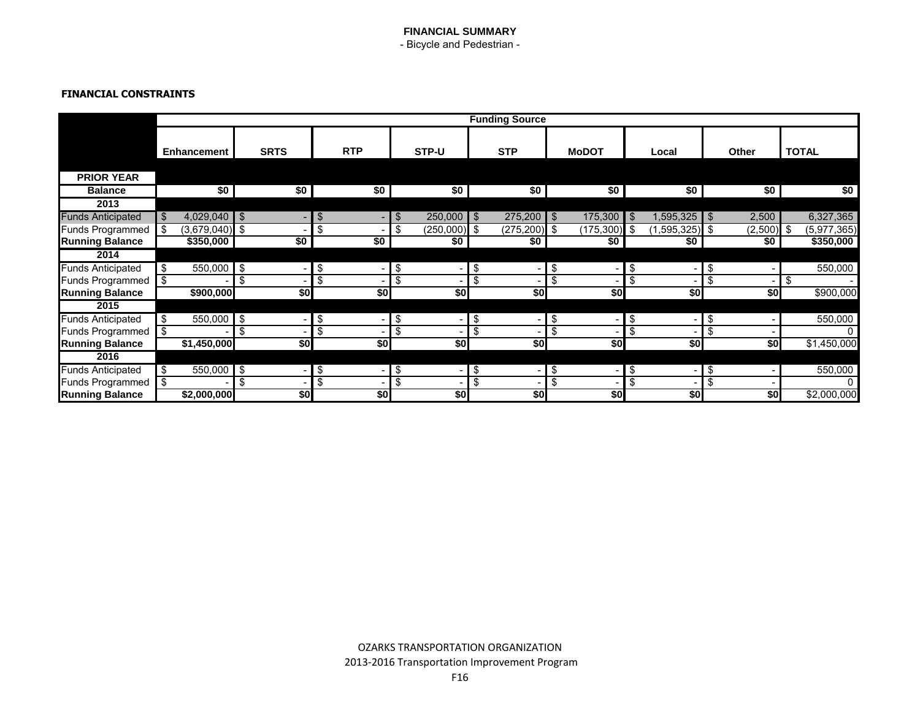- Bicycle and Pedestrian -

## **FINANCIAL CONSTRAINTS**

|                          | <b>Funding Source</b>    |             |                         |                                  |            |                |                      |                          |                 |                                  |                  |    |                  |    |         |      |               |  |
|--------------------------|--------------------------|-------------|-------------------------|----------------------------------|------------|----------------|----------------------|--------------------------|-----------------|----------------------------------|------------------|----|------------------|----|---------|------|---------------|--|
|                          |                          |             |                         |                                  |            |                |                      |                          |                 |                                  |                  |    |                  |    |         |      |               |  |
|                          | Enhancement              |             | <b>SRTS</b>             |                                  | <b>RTP</b> |                | STP-U                |                          | <b>STP</b>      |                                  | <b>MoDOT</b>     |    | Local            |    | Other   |      | <b>TOTAL</b>  |  |
|                          |                          |             |                         |                                  |            |                |                      |                          |                 |                                  |                  |    |                  |    |         |      |               |  |
| <b>PRIOR YEAR</b>        |                          |             |                         |                                  |            |                |                      |                          |                 |                                  |                  |    |                  |    |         |      |               |  |
| <b>Balance</b>           |                          | \$0         | \$0                     |                                  | \$0        |                | \$0                  |                          | \$0             |                                  | \$0 <sub>1</sub> |    | \$0 <sub>1</sub> |    | \$0     |      | \$0           |  |
| 2013                     |                          |             |                         |                                  |            |                |                      |                          |                 |                                  |                  |    |                  |    |         |      |               |  |
| <b>Funds Anticipated</b> |                          | 4,029,040   | $\mathfrak{S}$          | \$                               |            | $\mathfrak{F}$ | $250,000$ \$         |                          | $275,200$ \$    |                                  | $175,300$ \$     |    | $1,595,325$ \$   |    | 2,500   |      | 6,327,365     |  |
| <b>Funds Programmed</b>  | \$                       | (3,679,040) | \$                      | \$                               |            |                | $(250,000)$ \$<br>\$ |                          | $(275, 200)$ \$ |                                  | $(175,300)$ \$   |    | $(1,595,325)$ \$ |    | (2,500) | - \$ | (5, 977, 365) |  |
| <b>Running Balance</b>   |                          | \$350,000   | $\overline{50}$         |                                  | \$0        |                | \$0                  |                          | \$0             |                                  | \$0 <sub>1</sub> |    | \$0              |    | \$0     |      | \$350,000     |  |
| 2014                     |                          |             |                         |                                  |            |                |                      |                          |                 |                                  |                  |    |                  |    |         |      |               |  |
| <b>Funds Anticipated</b> | \$                       | 550,000     | \$                      | \$                               |            | \$             |                      | \$                       |                 | \$                               |                  | \$ | -                | \$ |         |      | 550,000       |  |
| <b>Funds Programmed</b>  | \$                       |             | \$                      | \$                               |            |                | \$                   | \$                       |                 | \$                               |                  | \$ |                  | \$ |         | \$   |               |  |
| <b>Running Balance</b>   |                          | \$900,000   |                         | \$0                              |            | \$0            | \$0                  |                          | \$0             |                                  | \$0              |    | \$0              |    | \$0     |      | \$900,000     |  |
| 2015                     |                          |             |                         |                                  |            |                |                      |                          |                 |                                  |                  |    |                  |    |         |      |               |  |
| <b>Funds Anticipated</b> | \$                       | 550,000     | $\overline{\mathbf{e}}$ | \$                               |            | \$             |                      | \$                       |                 | $\overline{\boldsymbol{\theta}}$ |                  | \$ |                  | \$ |         |      | 550,000       |  |
| <b>Funds Programmed</b>  | \$                       |             | \$                      | \$                               |            |                | \$                   | \$                       |                 | \$                               |                  | \$ |                  | \$ |         |      |               |  |
| <b>Running Balance</b>   |                          | \$1,450,000 |                         | \$0                              |            | \$0            | \$0                  |                          | \$0             |                                  | \$0              |    | \$0              |    | \$0     |      | \$1,450,000   |  |
| 2016                     |                          |             |                         |                                  |            |                |                      |                          |                 |                                  |                  |    |                  |    |         |      |               |  |
| <b>Funds Anticipated</b> | $\overline{\mathcal{S}}$ | 550,000     | $\overline{\mathbf{e}}$ | $\overline{\boldsymbol{\theta}}$ |            | \$             |                      | $\overline{\mathcal{E}}$ |                 | $\overline{\bullet}$             |                  | \$ |                  | \$ |         |      | 550,000       |  |
| <b>Funds Programmed</b>  | \$                       |             | \$                      | \$                               |            |                | \$                   | \$                       |                 | \$                               |                  | \$ |                  | \$ |         |      |               |  |
| <b>Running Balance</b>   |                          | \$2,000,000 |                         | \$0                              |            | \$0            | \$0                  |                          | \$0             |                                  | \$0              |    | \$0              |    | \$0     |      | \$2,000,000   |  |